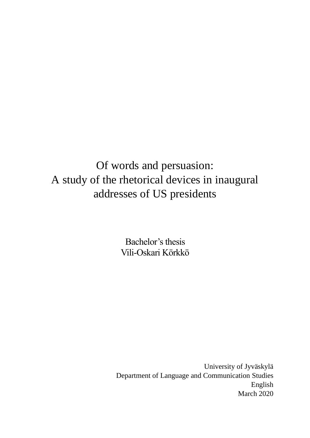Of words and persuasion: A study of the rhetorical devices in inaugural addresses of US presidents

> Bachelor's thesis Vili-Oskari Körkkö

University of Jyväskylä Department of Language and Communication Studies English March 2020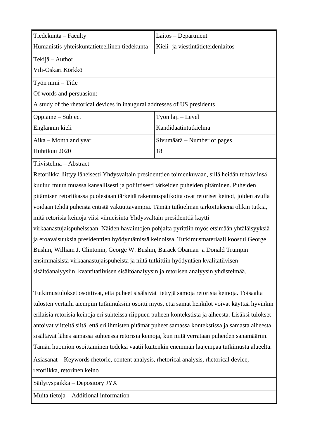| $\vert$ Tiedekunta – Faculty                                                          | Laitos - Department                |  |  |
|---------------------------------------------------------------------------------------|------------------------------------|--|--|
| Humanistis-yhteiskuntatieteellinen tiedekunta                                         | Kieli- ja viestintätieteidenlaitos |  |  |
| $\ $ Tekijä – Author                                                                  |                                    |  |  |
| ∥Vili-Oskari Körkkö                                                                   |                                    |  |  |
| $\ $ Työn nimi – Title                                                                |                                    |  |  |
| <b>Of</b> words and persuasion:                                                       |                                    |  |  |
| $\parallel$ A study of the rhetorical devices in inaugural addresses of US presidents |                                    |  |  |
| $\Box$ Oppiaine – Subject                                                             | Työn laji – Level                  |  |  |
| Englannin kieli                                                                       | Kandidaatintutkielma               |  |  |
| $\parallel$ Aika – Month and year                                                     | Sivumäärä – Number of pages        |  |  |
| Huhtikuu 2020                                                                         | 18                                 |  |  |

Tiivistelmä – Abstract

Retoriikka liittyy läheisesti Yhdysvaltain presidenttien toimenkuvaan, sillä heidän tehtäviinsä kuuluu muun muassa kansallisesti ja poliittisesti tärkeiden puheiden pitäminen. Puheiden pitämisen retoriikassa puolestaan tärkeitä rakennuspalikoita ovat retoriset keinot, joiden avulla voidaan tehdä puheista entistä vakuuttavampia. Tämän tutkielman tarkoituksena olikin tutkia, mitä retorisia keinoja viisi viimeisintä Yhdysvaltain presidenttiä käytti virkaanastujaispuheissaan. Näiden havaintojen pohjalta pyrittiin myös etsimään yhtäläisyyksiä ja eroavaisuuksia presidenttien hyödyntämissä keinoissa. Tutkimusmateriaali koostui George Bushin, William J. Clintonin, George W. Bushin, Barack Obaman ja Donald Trumpin ensimmäisistä virkaanastujaispuheista ja niitä tutkittiin hyödyntäen kvalitatiivisen sisältöanalyysiin, kvantitatiivisen sisältöanalyysin ja retorisen analyysin yhdistelmää.

Tutkimustulokset osoittivat, että puheet sisälsivät tiettyjä samoja retorisia keinoja. Toisaalta tulosten vertailu aiempiin tutkimuksiin osoitti myös, että samat henkilöt voivat käyttää hyvinkin erilaisia retorisia keinoja eri suhteissa riippuen puheen kontekstista ja aiheesta. Lisäksi tulokset antoivat viitteitä siitä, että eri ihmisten pitämät puheet samassa kontekstissa ja samasta aiheesta sisältävät lähes samassa suhteessa retorisia keinoja, kun niitä verrataan puheiden sanamääriin. Tämän huomion osoittaminen todeksi vaatii kuitenkin enemmän laajempaa tutkimusta alueelta.

Asiasanat – Keywords rhetoric, content analysis, rhetorical analysis, rhetorical device, retoriikka, retorinen keino

Säilytyspaikka – Depository JYX

Muita tietoja – Additional information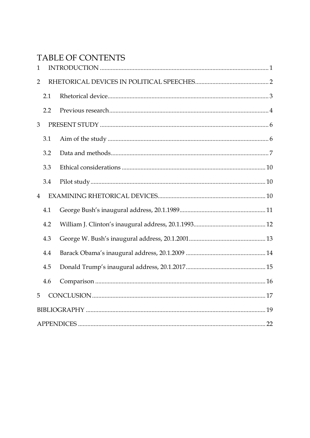# TABLE OF CONTENTS

| $\mathbf{1}$   |     |  |  |  |
|----------------|-----|--|--|--|
| $\overline{2}$ |     |  |  |  |
|                | 2.1 |  |  |  |
|                | 2.2 |  |  |  |
| 3              |     |  |  |  |
|                | 3.1 |  |  |  |
|                | 3.2 |  |  |  |
|                | 3.3 |  |  |  |
|                | 3.4 |  |  |  |
| $\overline{4}$ |     |  |  |  |
|                | 4.1 |  |  |  |
|                | 4.2 |  |  |  |
|                | 4.3 |  |  |  |
|                | 4.4 |  |  |  |
|                | 4.5 |  |  |  |
|                | 4.6 |  |  |  |
| 5              |     |  |  |  |
|                |     |  |  |  |
|                |     |  |  |  |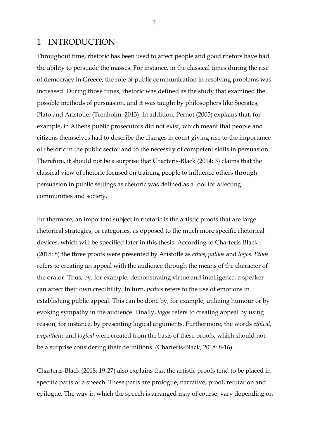# <span id="page-3-0"></span>1 INTRODUCTION

Throughout time, rhetoric has been used to affect people and good rhetors have had the ability to persuade the masses. For instance, in the classical times during the rise of democracy in Greece, the role of public communication in resolving problems was increased. During those times, rhetoric was defined as the study that examined the possible methods of persuasion, and it was taught by philosophers like Socrates, Plato and Aristotle. (Trenholm, 2013). In addition, Pernot (2005) explains that, for example, in Athens public prosecutors did not exist, which meant that people and citizens themselves had to describe the charges in court giving rise to the importance of rhetoric in the public sector and to the necessity of competent skills in persuasion. Therefore, it should not be a surprise that Charteris-Black (2014: 3) claims that the classical view of rhetoric focused on training people to influence others through persuasion in public settings as rhetoric was defined as a tool for affecting communities and society.

Furthermore, an important subject in rhetoric is the artistic proofs that are large rhetorical strategies, or categories, as opposed to the much more specific rhetorical devices, which will be specified later in this thesis. According to Charteris-Black (2018: 8) the three proofs were presented by Aristotle as *ethos*, *pathos* and *logos*. *Ethos* refers to creating an appeal with the audience through the means of the character of the orator. Thus, by, for example, demonstrating virtue and intelligence, a speaker can affect their own credibility. In turn, *pathos* refers to the use of emotions in establishing public appeal. This can be done by, for example, utilizing humour or by evoking sympathy in the audience. Finally, *logos* refers to creating appeal by using reason, for instance, by presenting logical arguments. Furthermore, the words *ethical*, *empathetic* and *logical* were created from the basis of these proofs, which should not be a surprise considering their definitions. (Charteris-Black, 2018: 8-16).

Charteris-Black (2018: 19-27) also explains that the artistic proofs tend to be placed in specific parts of a speech. These parts are prologue, narrative, proof, refutation and epilogue. The way in which the speech is arranged may of course, vary depending on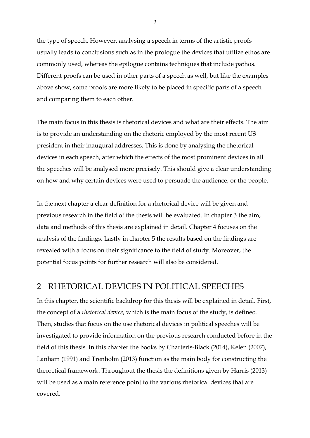the type of speech. However, analysing a speech in terms of the artistic proofs usually leads to conclusions such as in the prologue the devices that utilize ethos are commonly used, whereas the epilogue contains techniques that include pathos. Different proofs can be used in other parts of a speech as well, but like the examples above show, some proofs are more likely to be placed in specific parts of a speech and comparing them to each other.

The main focus in this thesis is rhetorical devices and what are their effects. The aim is to provide an understanding on the rhetoric employed by the most recent US president in their inaugural addresses. This is done by analysing the rhetorical devices in each speech, after which the effects of the most prominent devices in all the speeches will be analysed more precisely. This should give a clear understanding on how and why certain devices were used to persuade the audience, or the people.

In the next chapter a clear definition for a rhetorical device will be given and previous research in the field of the thesis will be evaluated. In chapter 3 the aim, data and methods of this thesis are explained in detail. Chapter 4 focuses on the analysis of the findings. Lastly in chapter 5 the results based on the findings are revealed with a focus on their significance to the field of study. Moreover, the potential focus points for further research will also be considered.

# <span id="page-4-0"></span>2 RHETORICAL DEVICES IN POLITICAL SPEECHES

In this chapter, the scientific backdrop for this thesis will be explained in detail. First, the concept of a *rhetorical device*, which is the main focus of the study, is defined. Then, studies that focus on the use rhetorical devices in political speeches will be investigated to provide information on the previous research conducted before in the field of this thesis. In this chapter the books by Charteris-Black (2014), Kelen (2007), Lanham (1991) and Trenholm (2013) function as the main body for constructing the theoretical framework. Throughout the thesis the definitions given by Harris (2013) will be used as a main reference point to the various rhetorical devices that are covered.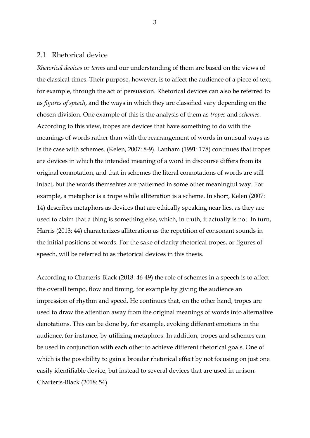#### <span id="page-5-0"></span>2.1 Rhetorical device

*Rhetorical devices* or *terms* and our understanding of them are based on the views of the classical times. Their purpose, however, is to affect the audience of a piece of text, for example, through the act of persuasion. Rhetorical devices can also be referred to as *figures of speech*, and the ways in which they are classified vary depending on the chosen division. One example of this is the analysis of them as *tropes* and *schemes.*  According to this view, tropes are devices that have something to do with the meanings of words rather than with the rearrangement of words in unusual ways as is the case with schemes. (Kelen, 2007: 8-9). Lanham (1991: 178) continues that tropes are devices in which the intended meaning of a word in discourse differs from its original connotation, and that in schemes the literal connotations of words are still intact, but the words themselves are patterned in some other meaningful way. For example, a metaphor is a trope while alliteration is a scheme. In short, Kelen (2007: 14) describes metaphors as devices that are ethically speaking near lies, as they are used to claim that a thing is something else, which, in truth, it actually is not. In turn, Harris (2013: 44) characterizes alliteration as the repetition of consonant sounds in the initial positions of words. For the sake of clarity rhetorical tropes, or figures of speech, will be referred to as rhetorical devices in this thesis.

According to Charteris-Black (2018: 46-49) the role of schemes in a speech is to affect the overall tempo, flow and timing, for example by giving the audience an impression of rhythm and speed. He continues that, on the other hand, tropes are used to draw the attention away from the original meanings of words into alternative denotations. This can be done by, for example, evoking different emotions in the audience, for instance, by utilizing metaphors. In addition, tropes and schemes can be used in conjunction with each other to achieve different rhetorical goals. One of which is the possibility to gain a broader rhetorical effect by not focusing on just one easily identifiable device, but instead to several devices that are used in unison. Charteris-Black (2018: 54)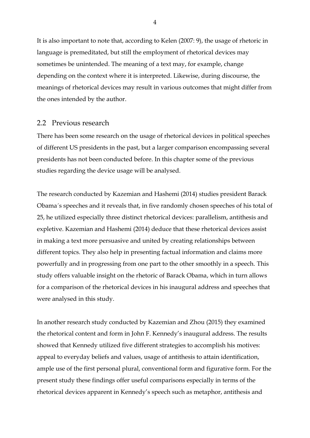It is also important to note that, according to Kelen (2007: 9), the usage of rhetoric in language is premeditated, but still the employment of rhetorical devices may sometimes be unintended. The meaning of a text may, for example, change depending on the context where it is interpreted. Likewise, during discourse, the meanings of rhetorical devices may result in various outcomes that might differ from the ones intended by the author.

#### <span id="page-6-0"></span>2.2 Previous research

There has been some research on the usage of rhetorical devices in political speeches of different US presidents in the past, but a larger comparison encompassing several presidents has not been conducted before. In this chapter some of the previous studies regarding the device usage will be analysed.

The research conducted by Kazemian and Hashemi (2014) studies president Barack Obama´s speeches and it reveals that, in five randomly chosen speeches of his total of 25, he utilized especially three distinct rhetorical devices: parallelism, antithesis and expletive. Kazemian and Hashemi (2014) deduce that these rhetorical devices assist in making a text more persuasive and united by creating relationships between different topics. They also help in presenting factual information and claims more powerfully and in progressing from one part to the other smoothly in a speech. This study offers valuable insight on the rhetoric of Barack Obama, which in turn allows for a comparison of the rhetorical devices in his inaugural address and speeches that were analysed in this study.

In another research study conducted by Kazemian and Zhou (2015) they examined the rhetorical content and form in John F. Kennedy's inaugural address. The results showed that Kennedy utilized five different strategies to accomplish his motives: appeal to everyday beliefs and values, usage of antithesis to attain identification, ample use of the first personal plural, conventional form and figurative form. For the present study these findings offer useful comparisons especially in terms of the rhetorical devices apparent in Kennedy's speech such as metaphor, antithesis and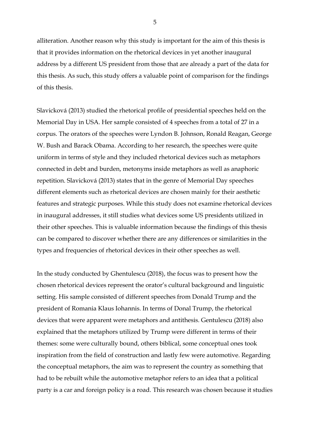alliteration. Another reason why this study is important for the aim of this thesis is that it provides information on the rhetorical devices in yet another inaugural address by a different US president from those that are already a part of the data for this thesis. As such, this study offers a valuable point of comparison for the findings of this thesis.

Slavicková (2013) studied the rhetorical profile of presidential speeches held on the Memorial Day in USA. Her sample consisted of 4 speeches from a total of 27 in a corpus. The orators of the speeches were Lyndon B. Johnson, Ronald Reagan, George W. Bush and Barack Obama. According to her research, the speeches were quite uniform in terms of style and they included rhetorical devices such as metaphors connected in debt and burden, metonyms inside metaphors as well as anaphoric repetition. Slavicková (2013) states that in the genre of Memorial Day speeches different elements such as rhetorical devices are chosen mainly for their aesthetic features and strategic purposes. While this study does not examine rhetorical devices in inaugural addresses, it still studies what devices some US presidents utilized in their other speeches. This is valuable information because the findings of this thesis can be compared to discover whether there are any differences or similarities in the types and frequencies of rhetorical devices in their other speeches as well.

In the study conducted by Ghentulescu (2018), the focus was to present how the chosen rhetorical devices represent the orator's cultural background and linguistic setting. His sample consisted of different speeches from Donald Trump and the president of Romania Klaus Iohannis. In terms of Donal Trump, the rhetorical devices that were apparent were metaphors and antithesis. Gentulescu (2018) also explained that the metaphors utilized by Trump were different in terms of their themes: some were culturally bound, others biblical, some conceptual ones took inspiration from the field of construction and lastly few were automotive. Regarding the conceptual metaphors, the aim was to represent the country as something that had to be rebuilt while the automotive metaphor refers to an idea that a political party is a car and foreign policy is a road. This research was chosen because it studies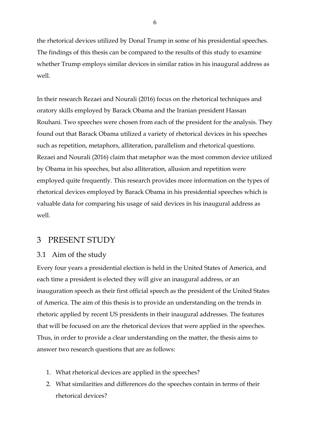the rhetorical devices utilized by Donal Trump in some of his presidential speeches. The findings of this thesis can be compared to the results of this study to examine whether Trump employs similar devices in similar ratios in his inaugural address as well.

In their research Rezaei and Nourali (2016) focus on the rhetorical techniques and oratory skills employed by Barack Obama and the Iranian president Hassan Rouhani. Two speeches were chosen from each of the president for the analysis. They found out that Barack Obama utilized a variety of rhetorical devices in his speeches such as repetition, metaphors, alliteration, parallelism and rhetorical questions. Rezaei and Nourali (2016) claim that metaphor was the most common device utilized by Obama in his speeches, but also alliteration, allusion and repetition were employed quite frequently. This research provides more information on the types of rhetorical devices employed by Barack Obama in his presidential speeches which is valuable data for comparing his usage of said devices in his inaugural address as well.

# <span id="page-8-0"></span>3 PRESENT STUDY

### <span id="page-8-1"></span>3.1 Aim of the study

Every four years a presidential election is held in the United States of America, and each time a president is elected they will give an inaugural address, or an inauguration speech as their first official speech as the president of the United States of America. The aim of this thesis is to provide an understanding on the trends in rhetoric applied by recent US presidents in their inaugural addresses. The features that will be focused on are the rhetorical devices that were applied in the speeches. Thus, in order to provide a clear understanding on the matter, the thesis aims to answer two research questions that are as follows:

- 1. What rhetorical devices are applied in the speeches?
- 2. What similarities and differences do the speeches contain in terms of their rhetorical devices?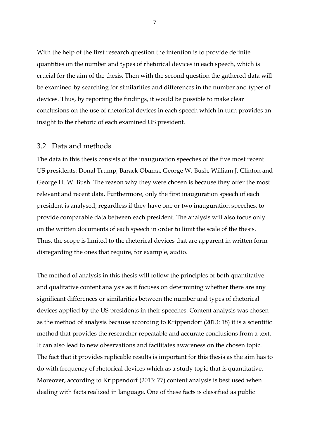With the help of the first research question the intention is to provide definite quantities on the number and types of rhetorical devices in each speech, which is crucial for the aim of the thesis. Then with the second question the gathered data will be examined by searching for similarities and differences in the number and types of devices. Thus, by reporting the findings, it would be possible to make clear conclusions on the use of rhetorical devices in each speech which in turn provides an insight to the rhetoric of each examined US president.

#### <span id="page-9-0"></span>3.2 Data and methods

The data in this thesis consists of the inauguration speeches of the five most recent US presidents: Donal Trump, Barack Obama, George W. Bush, William J. Clinton and George H. W. Bush. The reason why they were chosen is because they offer the most relevant and recent data. Furthermore, only the first inauguration speech of each president is analysed, regardless if they have one or two inauguration speeches, to provide comparable data between each president. The analysis will also focus only on the written documents of each speech in order to limit the scale of the thesis. Thus, the scope is limited to the rhetorical devices that are apparent in written form disregarding the ones that require, for example, audio.

The method of analysis in this thesis will follow the principles of both quantitative and qualitative content analysis as it focuses on determining whether there are any significant differences or similarities between the number and types of rhetorical devices applied by the US presidents in their speeches. Content analysis was chosen as the method of analysis because according to Krippendorf (2013: 18) it is a scientific method that provides the researcher repeatable and accurate conclusions from a text. It can also lead to new observations and facilitates awareness on the chosen topic. The fact that it provides replicable results is important for this thesis as the aim has to do with frequency of rhetorical devices which as a study topic that is quantitative. Moreover, according to Krippendorf (2013: 77) content analysis is best used when dealing with facts realized in language. One of these facts is classified as public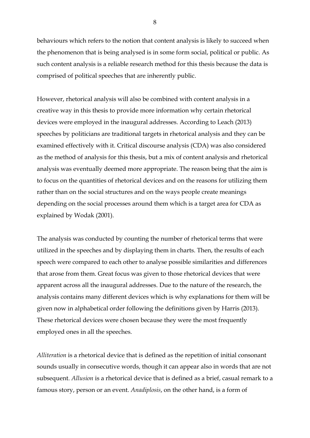behaviours which refers to the notion that content analysis is likely to succeed when the phenomenon that is being analysed is in some form social, political or public. As such content analysis is a reliable research method for this thesis because the data is comprised of political speeches that are inherently public.

However, rhetorical analysis will also be combined with content analysis in a creative way in this thesis to provide more information why certain rhetorical devices were employed in the inaugural addresses. According to Leach (2013) speeches by politicians are traditional targets in rhetorical analysis and they can be examined effectively with it. Critical discourse analysis (CDA) was also considered as the method of analysis for this thesis, but a mix of content analysis and rhetorical analysis was eventually deemed more appropriate. The reason being that the aim is to focus on the quantities of rhetorical devices and on the reasons for utilizing them rather than on the social structures and on the ways people create meanings depending on the social processes around them which is a target area for CDA as explained by Wodak (2001).

The analysis was conducted by counting the number of rhetorical terms that were utilized in the speeches and by displaying them in charts. Then, the results of each speech were compared to each other to analyse possible similarities and differences that arose from them. Great focus was given to those rhetorical devices that were apparent across all the inaugural addresses. Due to the nature of the research, the analysis contains many different devices which is why explanations for them will be given now in alphabetical order following the definitions given by Harris (2013). These rhetorical devices were chosen because they were the most frequently employed ones in all the speeches.

*Alliteration* is a rhetorical device that is defined as the repetition of initial consonant sounds usually in consecutive words, though it can appear also in words that are not subsequent. *Allusion* is a rhetorical device that is defined as a brief, casual remark to a famous story, person or an event. *Anadiplosis*, on the other hand, is a form of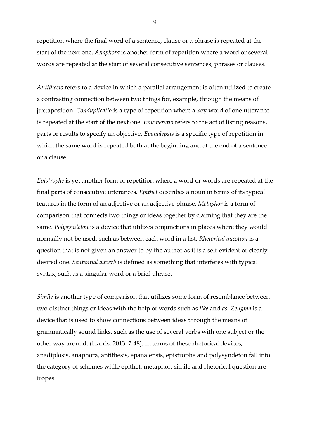repetition where the final word of a sentence, clause or a phrase is repeated at the start of the next one. *Anaphora* is another form of repetition where a word or several words are repeated at the start of several consecutive sentences, phrases or clauses.

*Antithesis* refers to a device in which a parallel arrangement is often utilized to create a contrasting connection between two things for, example, through the means of juxtaposition. *Conduplicatio* is a type of repetition where a key word of one utterance is repeated at the start of the next one. *Enumeratio* refers to the act of listing reasons, parts or results to specify an objective. *Epanalepsis* is a specific type of repetition in which the same word is repeated both at the beginning and at the end of a sentence or a clause.

*Epistrophe* is yet another form of repetition where a word or words are repeated at the final parts of consecutive utterances. *Epithet* describes a noun in terms of its typical features in the form of an adjective or an adjective phrase. *Metaphor* is a form of comparison that connects two things or ideas together by claiming that they are the same. *Polysyndeton* is a device that utilizes conjunctions in places where they would normally not be used, such as between each word in a list. *Rhetorical question* is a question that is not given an answer to by the author as it is a self-evident or clearly desired one. *Sentential adverb* is defined as something that interferes with typical syntax, such as a singular word or a brief phrase.

*Simile* is another type of comparison that utilizes some form of resemblance between two distinct things or ideas with the help of words such as *like* and *as. Zeugma* is a device that is used to show connections between ideas through the means of grammatically sound links, such as the use of several verbs with one subject or the other way around. (Harris, 2013: 7-48). In terms of these rhetorical devices, anadiplosis, anaphora, antithesis, epanalepsis, epistrophe and polysyndeton fall into the category of schemes while epithet, metaphor, simile and rhetorical question are tropes.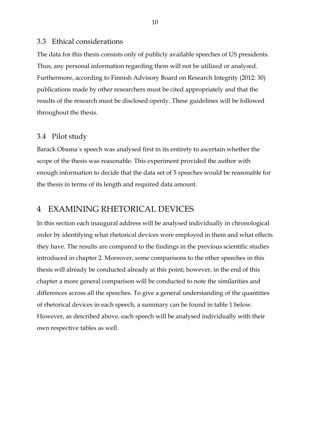#### <span id="page-12-0"></span>3.3 Ethical considerations

The data for this thesis consists only of publicly available speeches of US presidents. Thus, any personal information regarding them will not be utilized or analysed. Furthermore, according to Finnish Advisory Board on Research Integrity (2012: 30) publications made by other researchers must be cited appropriately and that the results of the research must be disclosed openly. These guidelines will be followed throughout the thesis.

#### <span id="page-12-1"></span>3.4 Pilot study

Barack Obama´s speech was analysed first in its entirety to ascertain whether the scope of the thesis was reasonable. This experiment provided the author with enough information to decide that the data set of 5 speeches would be reasonable for the thesis in terms of its length and required data amount.

### <span id="page-12-2"></span>4 EXAMINING RHETORICAL DEVICES

In this section each inaugural address will be analysed individually in chronological order by identifying what rhetorical devices were employed in them and what effects they have. The results are compared to the findings in the previous scientific studies introduced in chapter 2. Moreover, some comparisons to the other speeches in this thesis will already be conducted already at this point; however, in the end of this chapter a more general comparison will be conducted to note the similarities and differences across all the speeches. To give a general understanding of the quantities of rhetorical devices in each speech, a summary can be found in table 1 below. However, as described above, each speech will be analysed individually with their own respective tables as well.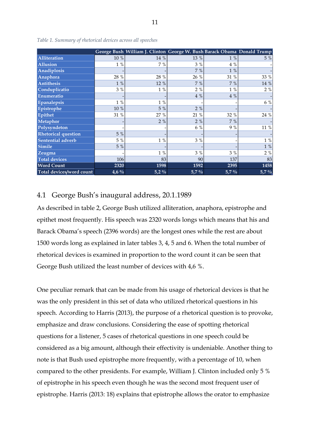|                            |                 | George Bush William J. Clinton George W. Bush Barack Obama Donald Trump |         |         |                |
|----------------------------|-----------------|-------------------------------------------------------------------------|---------|---------|----------------|
| Alliteration               | $10\ \%$        | 14 %                                                                    | 13 %    | $1\%$   | 5 %            |
| <b>Allusion</b>            | $1\%$           | 7 %                                                                     | 3 %     | 4 %     |                |
| Anadiplosis                |                 |                                                                         | 7 %     | $1\%$   |                |
| Anaphora                   | 28 %            | 28 %                                                                    | 26 %    | 31 %    | 33 %           |
| Antithesis                 | $1\%$           | 12 %                                                                    | 7 %     | 7 %     | 14 %           |
| Conduplicatio              | 3%              | $1\%$                                                                   | 2%      | $1\%$   | 2%             |
| Enumeratio                 |                 |                                                                         | 4 %     | 4 %     |                |
| <b>Epanalepsis</b>         | $1\%$           | $1\%$                                                                   |         |         | $6\%$          |
| Epistrophe                 | $10\ \%$        | 5 %                                                                     | $2\%$   |         |                |
| Epithet                    | 31 %            | 27 %                                                                    | 21 %    | 32 %    | 24 %           |
| Metaphor                   |                 | 2%                                                                      | 2%      | 7 %     |                |
| Polysyndeton               |                 |                                                                         | 6 %     | 9%      | $11\ \%$       |
| <b>Rhetorical question</b> | 5 %             |                                                                         |         |         |                |
| Sentential adverb          | 5 %             | $1\,$ %                                                                 | 3 %     |         | $1\ \%$        |
| <b>Simile</b>              | 5 %             |                                                                         |         |         | $1\,$ %        |
| Zeugma                     |                 | $1\%$                                                                   | 3 %     | $3\%$   | 2%             |
| <b>Total devices</b>       | 106             | 83                                                                      | 90      | 137     | 83             |
| <b>Word Count</b>          | 2320            | 1598                                                                    | 1592    | 2395    | 1458           |
| Total devices/word count   | $\frac{4,6}{9}$ | $5,2\%$                                                                 | $5,7\%$ | $5,7\%$ | $\sqrt{5,7}$ % |

*Table 1. Summary of rhetorical devices across all speeches*

### <span id="page-13-0"></span>4.1 George Bush's inaugural address, 20.1.1989

As described in table 2, George Bush utilized alliteration, anaphora, epistrophe and epithet most frequently. His speech was 2320 words longs which means that his and Barack Obama's speech (2396 words) are the longest ones while the rest are about 1500 words long as explained in later tables 3, 4, 5 and 6. When the total number of rhetorical devices is examined in proportion to the word count it can be seen that George Bush utilized the least number of devices with 4,6 %.

One peculiar remark that can be made from his usage of rhetorical devices is that he was the only president in this set of data who utilized rhetorical questions in his speech. According to Harris (2013), the purpose of a rhetorical question is to provoke, emphasize and draw conclusions. Considering the ease of spotting rhetorical questions for a listener, 5 cases of rhetorical questions in one speech could be considered as a big amount, although their effectivity is undeniable. Another thing to note is that Bush used epistrophe more frequently, with a percentage of 10, when compared to the other presidents. For example, William J. Clinton included only 5 % of epistrophe in his speech even though he was the second most frequent user of epistrophe. Harris (2013: 18) explains that epistrophe allows the orator to emphasize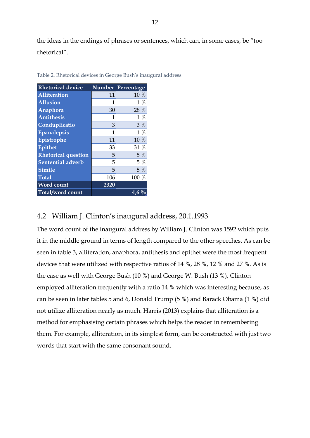the ideas in the endings of phrases or sentences, which can, in some cases, be "too rhetorical".

| <b>Rhetorical device</b>   |      | Number Percentage |
|----------------------------|------|-------------------|
| <b>Alliteration</b>        | 11   | 10 %              |
| <b>Allusion</b>            | 1    | $1\%$             |
| Anaphora                   | 30   | 28 %              |
| <b>Antithesis</b>          | 1    | $1\%$             |
| Conduplicatio              | 3    | 3%                |
| <b>Epanalepsis</b>         | 1    | $1\%$             |
| Epistrophe                 | 11   | 10 %              |
| <b>Epithet</b>             | 33   | 31 %              |
| <b>Rhetorical question</b> | 5    | 5 %               |
| <b>Sentential adverb</b>   | 5    | $5\%$             |
| <b>Simile</b>              | 5    | $5\%$             |
| <b>Total</b>               | 106  | 100 %             |
| <b>Word count</b>          | 2320 |                   |
| Total/word count           |      | 4.6               |

Table 2. Rhetorical devices in George Bush's inaugural address

### <span id="page-14-0"></span>4.2 William J. Clinton's inaugural address, 20.1.1993

The word count of the inaugural address by William J. Clinton was 1592 which puts it in the middle ground in terms of length compared to the other speeches. As can be seen in table 3, alliteration, anaphora, antithesis and epithet were the most frequent devices that were utilized with respective ratios of 14 %, 28 %, 12 % and 27 %. As is the case as well with George Bush (10 %) and George W. Bush (13 %), Clinton employed alliteration frequently with a ratio 14 % which was interesting because, as can be seen in later tables 5 and 6, Donald Trump (5 %) and Barack Obama (1 %) did not utilize alliteration nearly as much. Harris (2013) explains that alliteration is a method for emphasising certain phrases which helps the reader in remembering them. For example, alliteration, in its simplest form, can be constructed with just two words that start with the same consonant sound.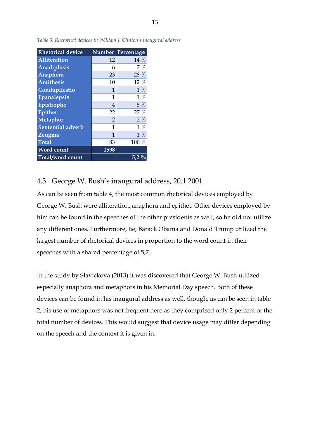| <b>Rhetorical device</b> |                | Number Percentage |
|--------------------------|----------------|-------------------|
| <b>Alliteration</b>      | 12             | 14 %              |
| Anadiplosis              | 6              | $7\%$             |
| Anaphora                 | 23             | 28 %              |
| <b>Antithesis</b>        | 10             | 12 %              |
| Conduplicatio            | 1              | $1\%$             |
| Epanalepsis              | 1              | $1\%$             |
| Epistrophe               | 4              | $5\%$             |
| <b>Epithet</b>           | 22             | 27 %              |
| <b>Metaphor</b>          | $\overline{2}$ | 2%                |
| Sentential adverb        | 1              | $1\%$             |
| Zeugma                   | 1              | $1\%$             |
| <b>Total</b>             | 83             | 100 %             |
| <b>Word count</b>        | 1598           |                   |
| Total/word count         |                | 5.2 <sub>1</sub>  |

*Table 3. Rhetorical devices in William J. Clinton's inaugural address*

# <span id="page-15-0"></span>4.3 George W. Bush's inaugural address, 20.1.2001

As can be seen from table 4, the most common rhetorical devices employed by George W. Bush were alliteration, anaphora and epithet. Other devices employed by him can be found in the speeches of the other presidents as well, so he did not utilize any different ones. Furthermore, he, Barack Obama and Donald Trump utilized the largest number of rhetorical devices in proportion to the word count in their speeches with a shared percentage of 5,7.

In the study by Slavicková (2013) it was discovered that George W. Bush utilized especially anaphora and metaphors in his Memorial Day speech. Both of these devices can be found in his inaugural address as well, though, as can be seen in table 2, his use of metaphors was not frequent here as they comprised only 2 percent of the total number of devices. This would suggest that device usage may differ depending on the speech and the context it is given in.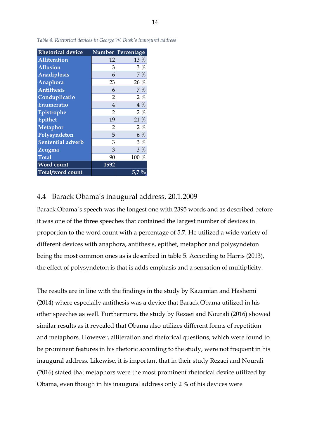| <b>Rhetorical device</b> |                | Number Percentage |
|--------------------------|----------------|-------------------|
| Alliteration             | 12             | 13 %              |
| <b>Allusion</b>          | 3              | $3\%$             |
| Anadiplosis              | 6              | 7%                |
| Anaphora                 | 23             | 26 %              |
| <b>Antithesis</b>        | 6              | 7 %               |
| Conduplicatio            | $\overline{2}$ | 2%                |
| Enumeratio               | 4              | $4\%$             |
| Epistrophe               | $\overline{2}$ | 2%                |
| Epithet                  | 19             | 21 %              |
| <b>Metaphor</b>          | $\overline{2}$ | $2\%$             |
| Polysyndeton             | 5              | $6\%$             |
| Sentential adverb        | 3              | 3%                |
| Zeugma                   | 3              | 3%                |
| <b>Total</b>             | 90             | 100 %             |
| <b>Word count</b>        | 1592           |                   |
| Total/word count         |                | $5.7\%$           |

*Table 4. Rhetorical devices in George W. Bush's inaugural address*

#### <span id="page-16-0"></span>4.4 Barack Obama's inaugural address, 20.1.2009

Barack Obama´s speech was the longest one with 2395 words and as described before it was one of the three speeches that contained the largest number of devices in proportion to the word count with a percentage of 5,7. He utilized a wide variety of different devices with anaphora, antithesis, epithet, metaphor and polysyndeton being the most common ones as is described in table 5. According to Harris (2013), the effect of polysyndeton is that is adds emphasis and a sensation of multiplicity.

The results are in line with the findings in the study by Kazemian and Hashemi (2014) where especially antithesis was a device that Barack Obama utilized in his other speeches as well. Furthermore, the study by Rezaei and Nourali (2016) showed similar results as it revealed that Obama also utilizes different forms of repetition and metaphors. However, alliteration and rhetorical questions, which were found to be prominent features in his rhetoric according to the study, were not frequent in his inaugural address. Likewise, it is important that in their study Rezaei and Nourali (2016) stated that metaphors were the most prominent rhetorical device utilized by Obama, even though in his inaugural address only 2 % of his devices were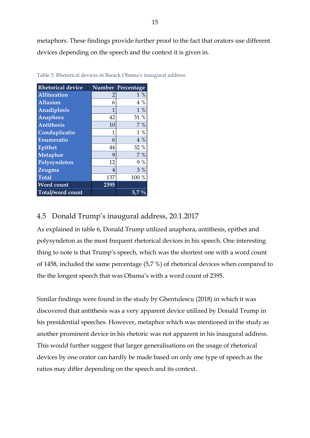metaphors. These findings provide further proof to the fact that orators use different devices depending on the speech and the context it is given in.

| <b>Rhetorical device</b> |                | Number Percentage |
|--------------------------|----------------|-------------------|
| <b>Alliteration</b>      | 2              | $1\%$             |
| <b>Allusion</b>          | 6              | $4\%$             |
| Anadiplosis              | $\mathbf{1}$   | $1\%$             |
| Anaphora                 | 42             | 31 %              |
| <b>Antithesis</b>        | 10             | 7 %               |
| Conduplicatio            | 1              | $1\%$             |
| Enumeratio               | 6              | $4\%$             |
| Epithet                  | 44             | 32 %              |
| <b>Metaphor</b>          | 9              | 7%                |
| Polysyndeton             | 12             | 9 %               |
| Zeugma                   | $\overline{4}$ | $3\%$             |
| <b>Total</b>             | 137            | 100 %             |
| <b>Word count</b>        | 2395           |                   |
| Total/word count         |                | 5.7               |

Table 5. Rhetorical devices in Barack Obama's inaugural address

# <span id="page-17-0"></span>4.5 Donald Trump's inaugural address, 20.1.2017

As explained in table 6, Donald Trump utilized anaphora, antithesis, epithet and polysyndeton as the most frequent rhetorical devices in his speech. One interesting thing to note is that Trump's speech, which was the shortest one with a word count of 1458, included the same percentage (5,7 %) of rhetorical devices when compared to the the longest speech that was Obama's with a word count of 2395.

Similar findings were found in the study by Ghentulescu (2018) in which it was discovered that antithesis was a very apparent device utilized by Donald Trump in his presidential speeches. However, metaphor which was mentioned in the study as another prominent device in his rhetoric was not apparent in his inaugural address. This would further suggest that larger generalisations on the usage of rhetorical devices by one orator can hardly be made based on only one type of speech as the ratios may differ depending on the speech and its context.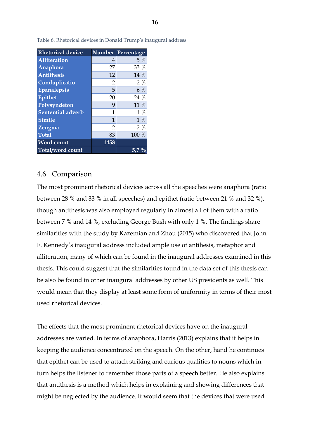| <b>Rhetorical device</b> |                | Number Percentage |
|--------------------------|----------------|-------------------|
| <b>Alliteration</b>      | 4              | 5 %               |
| Anaphora                 | 27             | 33 %              |
| <b>Antithesis</b>        | 12             | 14 %              |
| Conduplicatio            | $\overline{2}$ | $2\%$             |
| Epanalepsis              | 5              | $6\%$             |
| <b>Epithet</b>           | 20             | 24 %              |
| Polysyndeton             | 9              | 11 %              |
| <b>Sentential adverb</b> | 1              | $1\%$             |
| <b>Simile</b>            | 1              | $1\%$             |
| Zeugma                   | $\overline{2}$ | 2%                |
| <b>Total</b>             | 83             | 100 %             |
| <b>Word count</b>        | 1458           |                   |
| Total/word count         |                | 5.7               |

Table 6. Rhetorical devices in Donald Trump's inaugural address

#### <span id="page-18-0"></span>4.6 Comparison

The most prominent rhetorical devices across all the speeches were anaphora (ratio between 28 % and 33 % in all speeches) and epithet (ratio between 21 % and 32 %), though antithesis was also employed regularly in almost all of them with a ratio between 7 % and 14 %, excluding George Bush with only 1 %. The findings share similarities with the study by Kazemian and Zhou (2015) who discovered that John F. Kennedy's inaugural address included ample use of antihesis, metaphor and alliteration, many of which can be found in the inaugural addresses examined in this thesis. This could suggest that the similarities found in the data set of this thesis can be also be found in other inaugural addresses by other US presidents as well. This would mean that they display at least some form of uniformity in terms of their most used rhetorical devices.

The effects that the most prominent rhetorical devices have on the inaugural addresses are varied. In terms of anaphora, Harris (2013) explains that it helps in keeping the audience concentrated on the speech. On the other, hand he continues that epithet can be used to attach striking and curious qualities to nouns which in turn helps the listener to remember those parts of a speech better. He also explains that antithesis is a method which helps in explaining and showing differences that might be neglected by the audience. It would seem that the devices that were used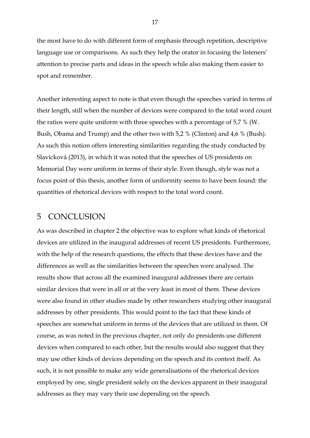the most have to do with different form of emphasis through repetition, descriptive language use or comparisons. As such they help the orator in focusing the listeners' attention to precise parts and ideas in the speech while also making them easier to spot and remember.

Another interesting aspect to note is that even though the speeches varied in terms of their length, still when the number of devices were compared to the total word count the ratios were quite uniform with three speeches with a percentage of 5,7 % (W. Bush, Obama and Trump) and the other two with 5,2 % (Clinton) and 4,6 % (Bush). As such this notion offers interesting similarities regarding the study conducted by Slavicková (2013), in which it was noted that the speeches of US presidents on Memorial Day were uniform in terms of their style. Even though, style was not a focus point of this thesis, another form of uniformity seems to have been found: the quantities of rhetorical devices with respect to the total word count.

### <span id="page-19-0"></span>5 CONCLUSION

As was described in chapter 2 the objective was to explore what kinds of rhetorical devices are utilized in the inaugural addresses of recent US presidents. Furthermore, with the help of the research questions, the effects that these devices have and the differences as well as the similarities between the speeches were analysed. The results show that across all the examined inaugural addresses there are certain similar devices that were in all or at the very least in most of them. These devices were also found in other studies made by other researchers studying other inaugural addresses by other presidents. This would point to the fact that these kinds of speeches are somewhat uniform in terms of the devices that are utilized in them. Of course, as was noted in the previous chapter, not only do presidents use different devices when compared to each other, but the results would also suggest that they may use other kinds of devices depending on the speech and its context itself. As such, it is not possible to make any wide generalisations of the rhetorical devices employed by one, single president solely on the devices apparent in their inaugural addresses as they may vary their use depending on the speech.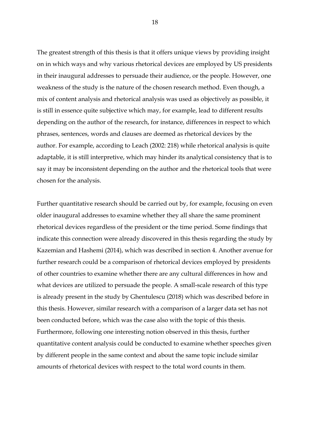The greatest strength of this thesis is that it offers unique views by providing insight on in which ways and why various rhetorical devices are employed by US presidents in their inaugural addresses to persuade their audience, or the people. However, one weakness of the study is the nature of the chosen research method. Even though, a mix of content analysis and rhetorical analysis was used as objectively as possible, it is still in essence quite subjective which may, for example, lead to different results depending on the author of the research, for instance, differences in respect to which phrases, sentences, words and clauses are deemed as rhetorical devices by the author. For example, according to Leach (2002: 218) while rhetorical analysis is quite adaptable, it is still interpretive, which may hinder its analytical consistency that is to say it may be inconsistent depending on the author and the rhetorical tools that were chosen for the analysis.

Further quantitative research should be carried out by, for example, focusing on even older inaugural addresses to examine whether they all share the same prominent rhetorical devices regardless of the president or the time period. Some findings that indicate this connection were already discovered in this thesis regarding the study by Kazemian and Hashemi (2014), which was described in section 4. Another avenue for further research could be a comparison of rhetorical devices employed by presidents of other countries to examine whether there are any cultural differences in how and what devices are utilized to persuade the people. A small-scale research of this type is already present in the study by Ghentulescu (2018) which was described before in this thesis. However, similar research with a comparison of a larger data set has not been conducted before, which was the case also with the topic of this thesis. Furthermore, following one interesting notion observed in this thesis, further quantitative content analysis could be conducted to examine whether speeches given by different people in the same context and about the same topic include similar amounts of rhetorical devices with respect to the total word counts in them.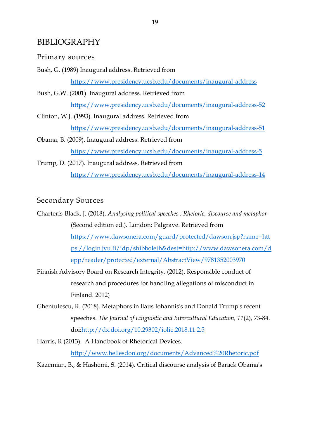# <span id="page-21-0"></span>BIBLIOGRAPHY

### Primary sources

- Bush, G. (1989) Inaugural address. Retrieved from <https://www.presidency.ucsb.edu/documents/inaugural-address>
- Bush, G.W. (2001). Inaugural address. Retrieved from <https://www.presidency.ucsb.edu/documents/inaugural-address-52>
- Clinton, W.J. (1993). Inaugural address. Retrieved from <https://www.presidency.ucsb.edu/documents/inaugural-address-51>
- Obama, B. (2009). Inaugural address. Retrieved from <https://www.presidency.ucsb.edu/documents/inaugural-address-5>
- Trump, D. (2017). Inaugural address. Retrieved from <https://www.presidency.ucsb.edu/documents/inaugural-address-14>

### Secondary Sources

- Charteris-Black, J. (2018). *Analysing political speeches : Rhetoric, discourse and metaphor* (Second edition ed.). London: Palgrave. Retrieved from [https://www.dawsonera.com/guard/protected/dawson.jsp?name=htt](https://www.dawsonera.com/guard/protected/dawson.jsp?name=https://login.jyu.fi/idp/shibboleth&dest=http://www.dawsonera.com/depp/reader/protected/external/AbstractView/9781352003970) [ps://login.jyu.fi/idp/shibboleth&dest=http://www.dawsonera.com/d](https://www.dawsonera.com/guard/protected/dawson.jsp?name=https://login.jyu.fi/idp/shibboleth&dest=http://www.dawsonera.com/depp/reader/protected/external/AbstractView/9781352003970) [epp/reader/protected/external/AbstractView/9781352003970](https://www.dawsonera.com/guard/protected/dawson.jsp?name=https://login.jyu.fi/idp/shibboleth&dest=http://www.dawsonera.com/depp/reader/protected/external/AbstractView/9781352003970)
- Finnish Advisory Board on Research Integrity. (2012). Responsible conduct of research and procedures for handling allegations of misconduct in Finland. 2012)
- Ghentulescu, R. (2018). Metaphors in llaus Iohannis's and Donald Trump's recent speeches. *The Journal of Linguistic and Intercultural Education, 11*(2), 73-84. doi[:http://dx.doi.org/10.29302/iolie.2018.11.2.5](http://dx.doi.org/10.29302/iolie.2018.11.2.5)
- Harris, R (2013). A Handbook of Rhetorical Devices. <http://www.hellesdon.org/documents/Advanced%20Rhetoric.pdf>
- Kazemian, B., & Hashemi, S. (2014). Critical discourse analysis of Barack Obama's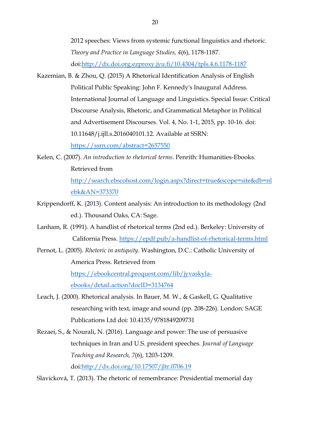2012 speeches: Views from systemic functional linguistics and rhetoric. *Theory and Practice in Language Studies, 4*(6), 1178-1187. doi[:http://dx.doi.org.ezproxy.jyu.fi/10.4304/tpls.4.6.1178-1187](http://dx.doi.org.ezproxy.jyu.fi/10.4304/tpls.4.6.1178-1187)

- Kazemian, B. & Zhou, Q. (2015) A Rhetorical Identification Analysis of English Political Public Speaking: John F. Kennedy's Inaugural Address. International Journal of Language and Linguistics. Special Issue: Critical Discourse Analysis, Rhetoric, and Grammatical Metaphor in Political and Advertisement Discourses. Vol. 4, No. 1-1, 2015, pp. 10-16. doi: 10.11648/j.ijll.s.2016040101.12. Available at SSRN: <https://ssrn.com/abstract=2657550>
- Kelen, C. (2007). *An introduction to rhetorical terms*. Penrith: Humanities-Ebooks. Retrieved from

[http://search.ebscohost.com/login.aspx?direct=true&scope=site&db=nl](http://search.ebscohost.com/login.aspx?direct=true&scope=site&db=nlebk&AN=373370) [ebk&AN=373370](http://search.ebscohost.com/login.aspx?direct=true&scope=site&db=nlebk&AN=373370)

- Krippendorff, K. (2013). Content analysis: An introduction to its methodology (2nd ed.). Thousand Oaks, CA: Sage.
- Lanham, R. (1991). A handlist of rhetorical terms (2nd ed.). Berkeley: University of California Press.<https://epdf.pub/a-handlist-of-rhetorical-terms.html>
- Pernot, L. (2005). *Rhetoric in antiquity*. Washington, D.C.: Catholic University of America Press. Retrieved from

[https://ebookcentral.proquest.com/lib/jyvaskyla](https://ebookcentral.proquest.com/lib/jyvaskyla-ebooks/detail.action?docID=3134764)[ebooks/detail.action?docID=3134764](https://ebookcentral.proquest.com/lib/jyvaskyla-ebooks/detail.action?docID=3134764)

- Leach, J. (2000). Rhetorical analysis. In Bauer, M. W., & Gaskell, G. Qualitative researching with text, image and sound (pp. 208-226). London: SAGE Publications Ltd doi: 10.4135/9781849209731
- Rezaei, S., & Nourali, N. (2016). Language and power: The use of persuasive techniques in Iran and U.S. president speeches. *Journal of Language Teaching and Research, 7*(6), 1203-1209. doi[:http://dx.doi.org/10.17507/jltr.0706.19](http://dx.doi.org/10.17507/jltr.0706.19)

Slavicková, T. (2013). The rhetoric of remembrance: Presidential memorial day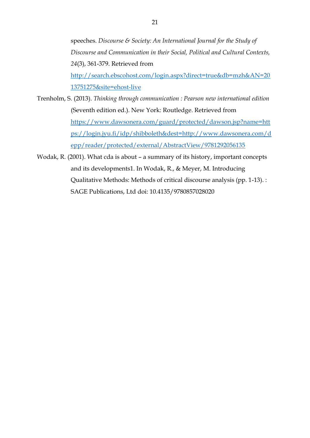speeches. *Discourse & Society: An International Journal for the Study of Discourse and Communication in their Social, Political and Cultural Contexts, 24*(3), 361-379. Retrieved from [http://search.ebscohost.com/login.aspx?direct=true&db=mzh&AN=20](http://search.ebscohost.com/login.aspx?direct=true&db=mzh&AN=2013751275&site=ehost-live) [13751275&site=ehost-live](http://search.ebscohost.com/login.aspx?direct=true&db=mzh&AN=2013751275&site=ehost-live)

- Trenholm, S. (2013). *Thinking through communication : Pearson new international edition* (Seventh edition ed.). New York: Routledge. Retrieved from [https://www.dawsonera.com/guard/protected/dawson.jsp?name=htt](https://www.dawsonera.com/guard/protected/dawson.jsp?name=https://login.jyu.fi/idp/shibboleth&dest=http://www.dawsonera.com/depp/reader/protected/external/AbstractView/9781292056135) [ps://login.jyu.fi/idp/shibboleth&dest=http://www.dawsonera.com/d](https://www.dawsonera.com/guard/protected/dawson.jsp?name=https://login.jyu.fi/idp/shibboleth&dest=http://www.dawsonera.com/depp/reader/protected/external/AbstractView/9781292056135) [epp/reader/protected/external/AbstractView/9781292056135](https://www.dawsonera.com/guard/protected/dawson.jsp?name=https://login.jyu.fi/idp/shibboleth&dest=http://www.dawsonera.com/depp/reader/protected/external/AbstractView/9781292056135)
- Wodak, R. (2001). What cda is about a summary of its history, important concepts and its developments1. In Wodak, R., & Meyer, M. Introducing Qualitative Methods: Methods of critical discourse analysis (pp. 1-13). : SAGE Publications, Ltd doi: 10.4135/9780857028020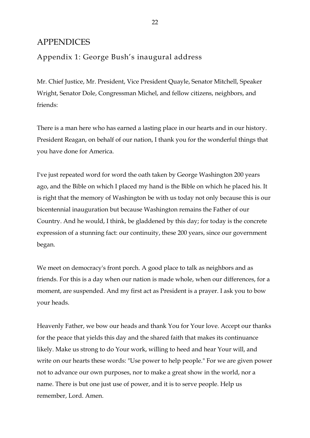# <span id="page-24-0"></span>**APPENDICES**

# Appendix 1: George Bush's inaugural address

Mr. Chief Justice, Mr. President, Vice President Quayle, Senator Mitchell, Speaker Wright, Senator Dole, Congressman Michel, and fellow citizens, neighbors, and friends:

There is a man here who has earned a lasting place in our hearts and in our history. President Reagan, on behalf of our nation, I thank you for the wonderful things that you have done for America.

I've just repeated word for word the oath taken by George Washington 200 years ago, and the Bible on which I placed my hand is the Bible on which he placed his. It is right that the memory of Washington be with us today not only because this is our bicentennial inauguration but because Washington remains the Father of our Country. And he would, I think, be gladdened by this day; for today is the concrete expression of a stunning fact: our continuity, these 200 years, since our government began.

We meet on democracy's front porch. A good place to talk as neighbors and as friends. For this is a day when our nation is made whole, when our differences, for a moment, are suspended. And my first act as President is a prayer. I ask you to bow your heads.

Heavenly Father, we bow our heads and thank You for Your love. Accept our thanks for the peace that yields this day and the shared faith that makes its continuance likely. Make us strong to do Your work, willing to heed and hear Your will, and write on our hearts these words: "Use power to help people." For we are given power not to advance our own purposes, nor to make a great show in the world, nor a name. There is but one just use of power, and it is to serve people. Help us remember, Lord. Amen.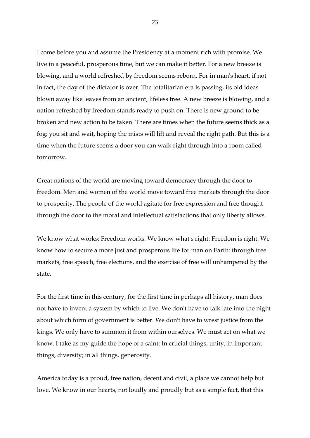I come before you and assume the Presidency at a moment rich with promise. We live in a peaceful, prosperous time, but we can make it better. For a new breeze is blowing, and a world refreshed by freedom seems reborn. For in man's heart, if not in fact, the day of the dictator is over. The totalitarian era is passing, its old ideas blown away like leaves from an ancient, lifeless tree. A new breeze is blowing, and a nation refreshed by freedom stands ready to push on. There is new ground to be broken and new action to be taken. There are times when the future seems thick as a fog; you sit and wait, hoping the mists will lift and reveal the right path. But this is a time when the future seems a door you can walk right through into a room called tomorrow.

Great nations of the world are moving toward democracy through the door to freedom. Men and women of the world move toward free markets through the door to prosperity. The people of the world agitate for free expression and free thought through the door to the moral and intellectual satisfactions that only liberty allows.

We know what works: Freedom works. We know what's right: Freedom is right. We know how to secure a more just and prosperous life for man on Earth: through free markets, free speech, free elections, and the exercise of free will unhampered by the state.

For the first time in this century, for the first time in perhaps all history, man does not have to invent a system by which to live. We don't have to talk late into the night about which form of government is better. We don't have to wrest justice from the kings. We only have to summon it from within ourselves. We must act on what we know. I take as my guide the hope of a saint: In crucial things, unity; in important things, diversity; in all things, generosity.

America today is a proud, free nation, decent and civil, a place we cannot help but love. We know in our hearts, not loudly and proudly but as a simple fact, that this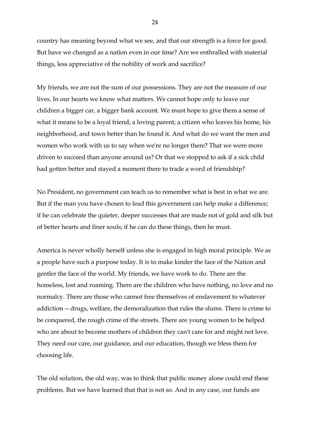country has meaning beyond what we see, and that our strength is a force for good. But have we changed as a nation even in our time? Are we enthralled with material things, less appreciative of the nobility of work and sacrifice?

My friends, we are not the sum of our possessions. They are not the measure of our lives. In our hearts we know what matters. We cannot hope only to leave our children a bigger car, a bigger bank account. We must hope to give them a sense of what it means to be a loyal friend; a loving parent; a citizen who leaves his home, his neighborhood, and town better than he found it. And what do we want the men and women who work with us to say when we're no longer there? That we were more driven to succeed than anyone around us? Or that we stopped to ask if a sick child had gotten better and stayed a moment there to trade a word of friendship?

No President, no government can teach us to remember what is best in what we are. But if the man you have chosen to lead this government can help make a difference; if he can celebrate the quieter, deeper successes that are made not of gold and silk but of better hearts and finer souls; if he can do these things, then he must.

America is never wholly herself unless she is engaged in high moral principle. We as a people have such a purpose today. It is to make kinder the face of the Nation and gentler the face of the world. My friends, we have work to do. There are the homeless, lost and roaming. There are the children who have nothing, no love and no normalcy. There are those who cannot free themselves of enslavement to whatever addiction -- drugs, welfare, the demoralization that rules the slums. There is crime to be conquered, the rough crime of the streets. There are young women to be helped who are about to become mothers of children they can't care for and might not love. They need our care, our guidance, and our education, though we bless them for choosing life.

The old solution, the old way, was to think that public money alone could end these problems. But we have learned that that is not so. And in any case, our funds are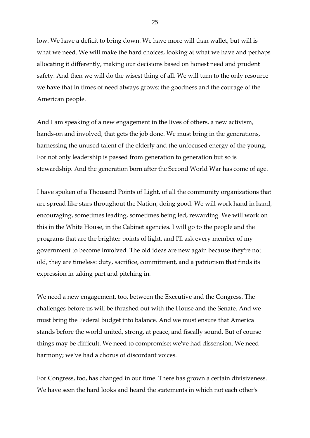low. We have a deficit to bring down. We have more will than wallet, but will is what we need. We will make the hard choices, looking at what we have and perhaps allocating it differently, making our decisions based on honest need and prudent safety. And then we will do the wisest thing of all. We will turn to the only resource we have that in times of need always grows: the goodness and the courage of the American people.

And I am speaking of a new engagement in the lives of others, a new activism, hands-on and involved, that gets the job done. We must bring in the generations, harnessing the unused talent of the elderly and the unfocused energy of the young. For not only leadership is passed from generation to generation but so is stewardship. And the generation born after the Second World War has come of age.

I have spoken of a Thousand Points of Light, of all the community organizations that are spread like stars throughout the Nation, doing good. We will work hand in hand, encouraging, sometimes leading, sometimes being led, rewarding. We will work on this in the White House, in the Cabinet agencies. I will go to the people and the programs that are the brighter points of light, and I'll ask every member of my government to become involved. The old ideas are new again because they're not old, they are timeless: duty, sacrifice, commitment, and a patriotism that finds its expression in taking part and pitching in.

We need a new engagement, too, between the Executive and the Congress. The challenges before us will be thrashed out with the House and the Senate. And we must bring the Federal budget into balance. And we must ensure that America stands before the world united, strong, at peace, and fiscally sound. But of course things may be difficult. We need to compromise; we've had dissension. We need harmony; we've had a chorus of discordant voices.

For Congress, too, has changed in our time. There has grown a certain divisiveness. We have seen the hard looks and heard the statements in which not each other's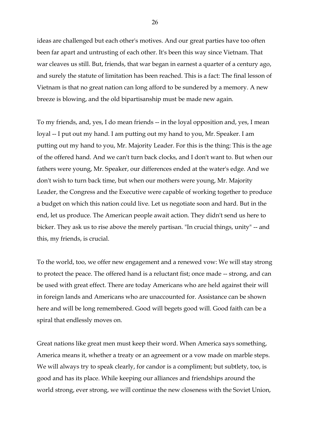ideas are challenged but each other's motives. And our great parties have too often been far apart and untrusting of each other. It's been this way since Vietnam. That war cleaves us still. But, friends, that war began in earnest a quarter of a century ago, and surely the statute of limitation has been reached. This is a fact: The final lesson of Vietnam is that no great nation can long afford to be sundered by a memory. A new breeze is blowing, and the old bipartisanship must be made new again.

To my friends, and, yes, I do mean friends -- in the loyal opposition and, yes, I mean loyal -- I put out my hand. I am putting out my hand to you, Mr. Speaker. I am putting out my hand to you, Mr. Majority Leader. For this is the thing: This is the age of the offered hand. And we can't turn back clocks, and I don't want to. But when our fathers were young, Mr. Speaker, our differences ended at the water's edge. And we don't wish to turn back time, but when our mothers were young, Mr. Majority Leader, the Congress and the Executive were capable of working together to produce a budget on which this nation could live. Let us negotiate soon and hard. But in the end, let us produce. The American people await action. They didn't send us here to bicker. They ask us to rise above the merely partisan. "In crucial things, unity" -- and this, my friends, is crucial.

To the world, too, we offer new engagement and a renewed vow: We will stay strong to protect the peace. The offered hand is a reluctant fist; once made -- strong, and can be used with great effect. There are today Americans who are held against their will in foreign lands and Americans who are unaccounted for. Assistance can be shown here and will be long remembered. Good will begets good will. Good faith can be a spiral that endlessly moves on.

Great nations like great men must keep their word. When America says something, America means it, whether a treaty or an agreement or a vow made on marble steps. We will always try to speak clearly, for candor is a compliment; but subtlety, too, is good and has its place. While keeping our alliances and friendships around the world strong, ever strong, we will continue the new closeness with the Soviet Union,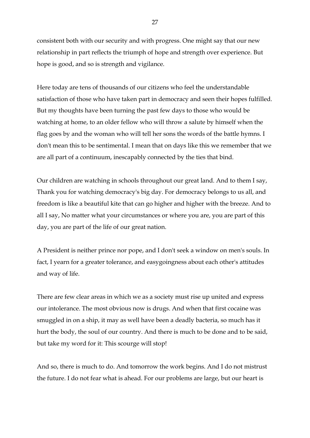consistent both with our security and with progress. One might say that our new relationship in part reflects the triumph of hope and strength over experience. But hope is good, and so is strength and vigilance.

Here today are tens of thousands of our citizens who feel the understandable satisfaction of those who have taken part in democracy and seen their hopes fulfilled. But my thoughts have been turning the past few days to those who would be watching at home, to an older fellow who will throw a salute by himself when the flag goes by and the woman who will tell her sons the words of the battle hymns. I don't mean this to be sentimental. I mean that on days like this we remember that we are all part of a continuum, inescapably connected by the ties that bind.

Our children are watching in schools throughout our great land. And to them I say, Thank you for watching democracy's big day. For democracy belongs to us all, and freedom is like a beautiful kite that can go higher and higher with the breeze. And to all I say, No matter what your circumstances or where you are, you are part of this day, you are part of the life of our great nation.

A President is neither prince nor pope, and I don't seek a window on men's souls. In fact, I yearn for a greater tolerance, and easygoingness about each other's attitudes and way of life.

There are few clear areas in which we as a society must rise up united and express our intolerance. The most obvious now is drugs. And when that first cocaine was smuggled in on a ship, it may as well have been a deadly bacteria, so much has it hurt the body, the soul of our country. And there is much to be done and to be said, but take my word for it: This scourge will stop!

And so, there is much to do. And tomorrow the work begins. And I do not mistrust the future. I do not fear what is ahead. For our problems are large, but our heart is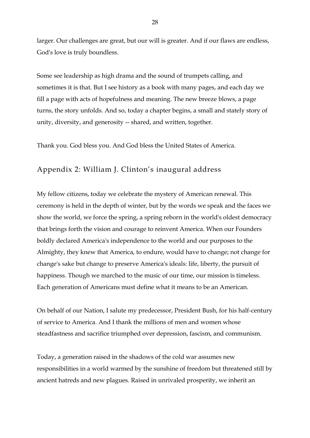larger. Our challenges are great, but our will is greater. And if our flaws are endless, God's love is truly boundless.

Some see leadership as high drama and the sound of trumpets calling, and sometimes it is that. But I see history as a book with many pages, and each day we fill a page with acts of hopefulness and meaning. The new breeze blows, a page turns, the story unfolds. And so, today a chapter begins, a small and stately story of unity, diversity, and generosity -- shared, and written, together.

Thank you. God bless you. And God bless the United States of America.

# Appendix 2: William J. Clinton's inaugural address

My fellow citizens, today we celebrate the mystery of American renewal. This ceremony is held in the depth of winter, but by the words we speak and the faces we show the world, we force the spring, a spring reborn in the world's oldest democracy that brings forth the vision and courage to reinvent America. When our Founders boldly declared America's independence to the world and our purposes to the Almighty, they knew that America, to endure, would have to change; not change for change's sake but change to preserve America's ideals: life, liberty, the pursuit of happiness. Though we marched to the music of our time, our mission is timeless. Each generation of Americans must define what it means to be an American.

On behalf of our Nation, I salute my predecessor, President Bush, for his half-century of service to America. And I thank the millions of men and women whose steadfastness and sacrifice triumphed over depression, fascism, and communism.

Today, a generation raised in the shadows of the cold war assumes new responsibilities in a world warmed by the sunshine of freedom but threatened still by ancient hatreds and new plagues. Raised in unrivaled prosperity, we inherit an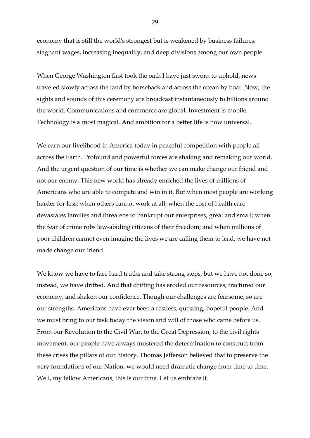economy that is still the world's strongest but is weakened by business failures, stagnant wages, increasing inequality, and deep divisions among our own people.

When George Washington first took the oath I have just sworn to uphold, news traveled slowly across the land by horseback and across the ocean by boat. Now, the sights and sounds of this ceremony are broadcast instantaneously to billions around the world. Communications and commerce are global. Investment is mobile. Technology is almost magical. And ambition for a better life is now universal.

We earn our livelihood in America today in peaceful competition with people all across the Earth. Profound and powerful forces are shaking and remaking our world. And the urgent question of our time is whether we can make change our friend and not our enemy. This new world has already enriched the lives of millions of Americans who are able to compete and win in it. But when most people are working harder for less; when others cannot work at all; when the cost of health care devastates families and threatens to bankrupt our enterprises, great and small; when the fear of crime robs law-abiding citizens of their freedom; and when millions of poor children cannot even imagine the lives we are calling them to lead, we have not made change our friend.

We know we have to face hard truths and take strong steps, but we have not done so; instead, we have drifted. And that drifting has eroded our resources, fractured our economy, and shaken our confidence. Though our challenges are fearsome, so are our strengths. Americans have ever been a restless, questing, hopeful people. And we must bring to our task today the vision and will of those who came before us. From our Revolution to the Civil War, to the Great Depression, to the civil rights movement, our people have always mustered the determination to construct from these crises the pillars of our history. Thomas Jefferson believed that to preserve the very foundations of our Nation, we would need dramatic change from time to time. Well, my fellow Americans, this is our time. Let us embrace it.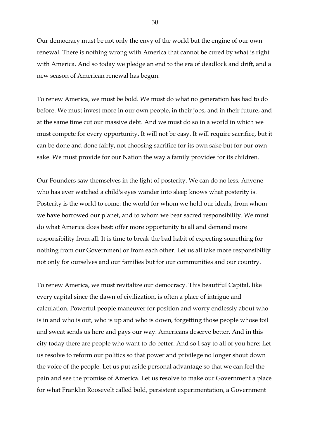Our democracy must be not only the envy of the world but the engine of our own renewal. There is nothing wrong with America that cannot be cured by what is right with America. And so today we pledge an end to the era of deadlock and drift, and a new season of American renewal has begun.

To renew America, we must be bold. We must do what no generation has had to do before. We must invest more in our own people, in their jobs, and in their future, and at the same time cut our massive debt. And we must do so in a world in which we must compete for every opportunity. It will not be easy. It will require sacrifice, but it can be done and done fairly, not choosing sacrifice for its own sake but for our own sake. We must provide for our Nation the way a family provides for its children.

Our Founders saw themselves in the light of posterity. We can do no less. Anyone who has ever watched a child's eyes wander into sleep knows what posterity is. Posterity is the world to come: the world for whom we hold our ideals, from whom we have borrowed our planet, and to whom we bear sacred responsibility. We must do what America does best: offer more opportunity to all and demand more responsibility from all. It is time to break the bad habit of expecting something for nothing from our Government or from each other. Let us all take more responsibility not only for ourselves and our families but for our communities and our country.

To renew America, we must revitalize our democracy. This beautiful Capital, like every capital since the dawn of civilization, is often a place of intrigue and calculation. Powerful people maneuver for position and worry endlessly about who is in and who is out, who is up and who is down, forgetting those people whose toil and sweat sends us here and pays our way. Americans deserve better. And in this city today there are people who want to do better. And so I say to all of you here: Let us resolve to reform our politics so that power and privilege no longer shout down the voice of the people. Let us put aside personal advantage so that we can feel the pain and see the promise of America. Let us resolve to make our Government a place for what Franklin Roosevelt called bold, persistent experimentation, a Government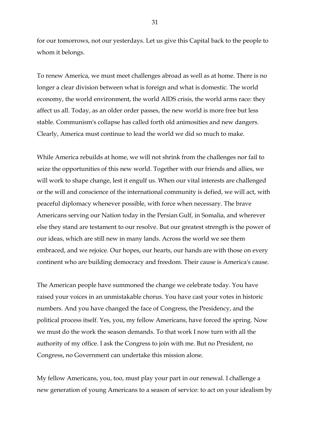for our tomorrows, not our yesterdays. Let us give this Capital back to the people to whom it belongs.

To renew America, we must meet challenges abroad as well as at home. There is no longer a clear division between what is foreign and what is domestic. The world economy, the world environment, the world AIDS crisis, the world arms race: they affect us all. Today, as an older order passes, the new world is more free but less stable. Communism's collapse has called forth old animosities and new dangers. Clearly, America must continue to lead the world we did so much to make.

While America rebuilds at home, we will not shrink from the challenges nor fail to seize the opportunities of this new world. Together with our friends and allies, we will work to shape change, lest it engulf us. When our vital interests are challenged or the will and conscience of the international community is defied, we will act, with peaceful diplomacy whenever possible, with force when necessary. The brave Americans serving our Nation today in the Persian Gulf, in Somalia, and wherever else they stand are testament to our resolve. But our greatest strength is the power of our ideas, which are still new in many lands. Across the world we see them embraced, and we rejoice. Our hopes, our hearts, our hands are with those on every continent who are building democracy and freedom. Their cause is America's cause.

The American people have summoned the change we celebrate today. You have raised your voices in an unmistakable chorus. You have cast your votes in historic numbers. And you have changed the face of Congress, the Presidency, and the political process itself. Yes, you, my fellow Americans, have forced the spring. Now we must do the work the season demands. To that work I now turn with all the authority of my office. I ask the Congress to join with me. But no President, no Congress, no Government can undertake this mission alone.

My fellow Americans, you, too, must play your part in our renewal. I challenge a new generation of young Americans to a season of service: to act on your idealism by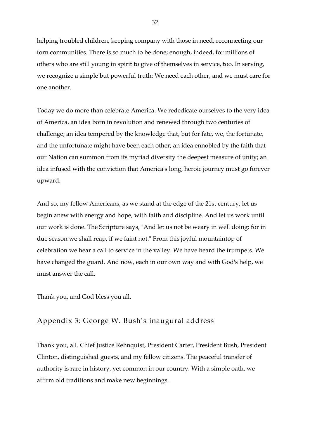helping troubled children, keeping company with those in need, reconnecting our torn communities. There is so much to be done; enough, indeed, for millions of others who are still young in spirit to give of themselves in service, too. In serving, we recognize a simple but powerful truth: We need each other, and we must care for one another.

Today we do more than celebrate America. We rededicate ourselves to the very idea of America, an idea born in revolution and renewed through two centuries of challenge; an idea tempered by the knowledge that, but for fate, we, the fortunate, and the unfortunate might have been each other; an idea ennobled by the faith that our Nation can summon from its myriad diversity the deepest measure of unity; an idea infused with the conviction that America's long, heroic journey must go forever upward.

And so, my fellow Americans, as we stand at the edge of the 21st century, let us begin anew with energy and hope, with faith and discipline. And let us work until our work is done. The Scripture says, "And let us not be weary in well doing: for in due season we shall reap, if we faint not." From this joyful mountaintop of celebration we hear a call to service in the valley. We have heard the trumpets. We have changed the guard. And now, each in our own way and with God's help, we must answer the call.

Thank you, and God bless you all.

# Appendix 3: George W. Bush's inaugural address

Thank you, all. Chief Justice Rehnquist, President Carter, President Bush, President Clinton, distinguished guests, and my fellow citizens. The peaceful transfer of authority is rare in history, yet common in our country. With a simple oath, we affirm old traditions and make new beginnings.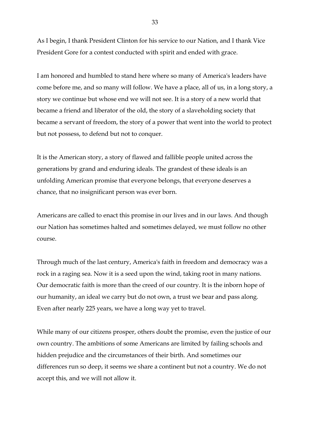As I begin, I thank President Clinton for his service to our Nation, and I thank Vice President Gore for a contest conducted with spirit and ended with grace.

I am honored and humbled to stand here where so many of America's leaders have come before me, and so many will follow. We have a place, all of us, in a long story, a story we continue but whose end we will not see. It is a story of a new world that became a friend and liberator of the old, the story of a slaveholding society that became a servant of freedom, the story of a power that went into the world to protect but not possess, to defend but not to conquer.

It is the American story, a story of flawed and fallible people united across the generations by grand and enduring ideals. The grandest of these ideals is an unfolding American promise that everyone belongs, that everyone deserves a chance, that no insignificant person was ever born.

Americans are called to enact this promise in our lives and in our laws. And though our Nation has sometimes halted and sometimes delayed, we must follow no other course.

Through much of the last century, America's faith in freedom and democracy was a rock in a raging sea. Now it is a seed upon the wind, taking root in many nations. Our democratic faith is more than the creed of our country. It is the inborn hope of our humanity, an ideal we carry but do not own, a trust we bear and pass along. Even after nearly 225 years, we have a long way yet to travel.

While many of our citizens prosper, others doubt the promise, even the justice of our own country. The ambitions of some Americans are limited by failing schools and hidden prejudice and the circumstances of their birth. And sometimes our differences run so deep, it seems we share a continent but not a country. We do not accept this, and we will not allow it.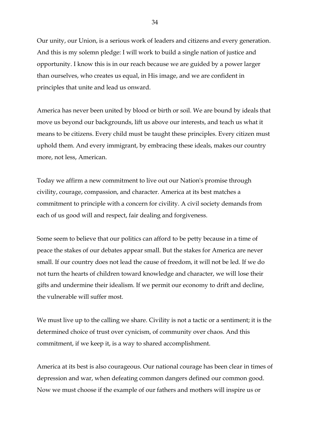Our unity, our Union, is a serious work of leaders and citizens and every generation. And this is my solemn pledge: I will work to build a single nation of justice and opportunity. I know this is in our reach because we are guided by a power larger than ourselves, who creates us equal, in His image, and we are confident in principles that unite and lead us onward.

America has never been united by blood or birth or soil. We are bound by ideals that move us beyond our backgrounds, lift us above our interests, and teach us what it means to be citizens. Every child must be taught these principles. Every citizen must uphold them. And every immigrant, by embracing these ideals, makes our country more, not less, American.

Today we affirm a new commitment to live out our Nation's promise through civility, courage, compassion, and character. America at its best matches a commitment to principle with a concern for civility. A civil society demands from each of us good will and respect, fair dealing and forgiveness.

Some seem to believe that our politics can afford to be petty because in a time of peace the stakes of our debates appear small. But the stakes for America are never small. If our country does not lead the cause of freedom, it will not be led. If we do not turn the hearts of children toward knowledge and character, we will lose their gifts and undermine their idealism. If we permit our economy to drift and decline, the vulnerable will suffer most.

We must live up to the calling we share. Civility is not a tactic or a sentiment; it is the determined choice of trust over cynicism, of community over chaos. And this commitment, if we keep it, is a way to shared accomplishment.

America at its best is also courageous. Our national courage has been clear in times of depression and war, when defeating common dangers defined our common good. Now we must choose if the example of our fathers and mothers will inspire us or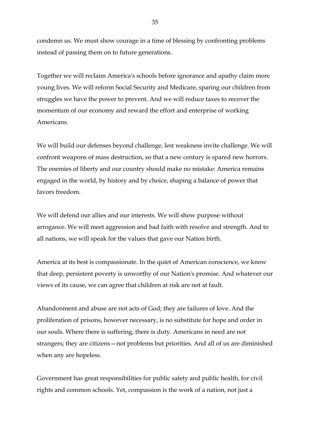condemn us. We must show courage in a time of blessing by confronting problems instead of passing them on to future generations.

Together we will reclaim America's schools before ignorance and apathy claim more young lives. We will reform Social Security and Medicare, sparing our children from struggles we have the power to prevent. And we will reduce taxes to recover the momentum of our economy and reward the effort and enterprise of working Americans.

We will build our defenses beyond challenge, lest weakness invite challenge. We will confront weapons of mass destruction, so that a new century is spared new horrors. The enemies of liberty and our country should make no mistake: America remains engaged in the world, by history and by choice, shaping a balance of power that favors freedom.

We will defend our allies and our interests. We will show purpose without arrogance. We will meet aggression and bad faith with resolve and strength. And to all nations, we will speak for the values that gave our Nation birth.

America at its best is compassionate. In the quiet of American conscience, we know that deep, persistent poverty is unworthy of our Nation's promise. And whatever our views of its cause, we can agree that children at risk are not at fault.

Abandonment and abuse are not acts of God; they are failures of love. And the proliferation of prisons, however necessary, is no substitute for hope and order in our souls. Where there is suffering, there is duty. Americans in need are not strangers; they are citizens—not problems but priorities. And all of us are diminished when any are hopeless.

Government has great responsibilities for public safety and public health, for civil rights and common schools. Yet, compassion is the work of a nation, not just a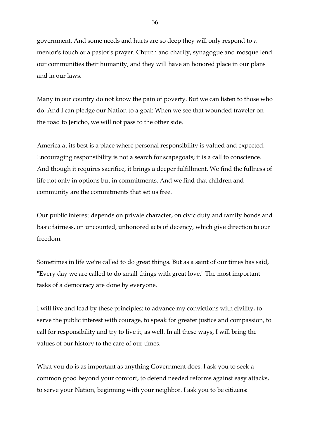government. And some needs and hurts are so deep they will only respond to a mentor's touch or a pastor's prayer. Church and charity, synagogue and mosque lend our communities their humanity, and they will have an honored place in our plans and in our laws.

Many in our country do not know the pain of poverty. But we can listen to those who do. And I can pledge our Nation to a goal: When we see that wounded traveler on the road to Jericho, we will not pass to the other side.

America at its best is a place where personal responsibility is valued and expected. Encouraging responsibility is not a search for scapegoats; it is a call to conscience. And though it requires sacrifice, it brings a deeper fulfillment. We find the fullness of life not only in options but in commitments. And we find that children and community are the commitments that set us free.

Our public interest depends on private character, on civic duty and family bonds and basic fairness, on uncounted, unhonored acts of decency, which give direction to our freedom.

Sometimes in life we're called to do great things. But as a saint of our times has said, "Every day we are called to do small things with great love." The most important tasks of a democracy are done by everyone.

I will live and lead by these principles: to advance my convictions with civility, to serve the public interest with courage, to speak for greater justice and compassion, to call for responsibility and try to live it, as well. In all these ways, I will bring the values of our history to the care of our times.

What you do is as important as anything Government does. I ask you to seek a common good beyond your comfort, to defend needed reforms against easy attacks, to serve your Nation, beginning with your neighbor. I ask you to be citizens: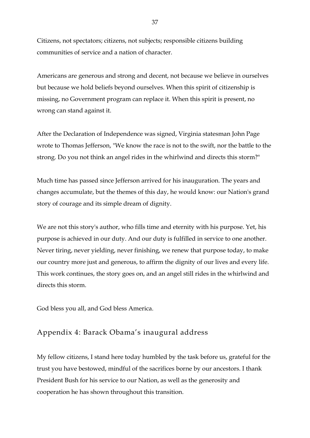Citizens, not spectators; citizens, not subjects; responsible citizens building communities of service and a nation of character.

Americans are generous and strong and decent, not because we believe in ourselves but because we hold beliefs beyond ourselves. When this spirit of citizenship is missing, no Government program can replace it. When this spirit is present, no wrong can stand against it.

After the Declaration of Independence was signed, Virginia statesman John Page wrote to Thomas Jefferson, "We know the race is not to the swift, nor the battle to the strong. Do you not think an angel rides in the whirlwind and directs this storm?"

Much time has passed since Jefferson arrived for his inauguration. The years and changes accumulate, but the themes of this day, he would know: our Nation's grand story of courage and its simple dream of dignity.

We are not this story's author, who fills time and eternity with his purpose. Yet, his purpose is achieved in our duty. And our duty is fulfilled in service to one another. Never tiring, never yielding, never finishing, we renew that purpose today, to make our country more just and generous, to affirm the dignity of our lives and every life. This work continues, the story goes on, and an angel still rides in the whirlwind and directs this storm.

God bless you all, and God bless America.

### Appendix 4: Barack Obama's inaugural address

My fellow citizens, I stand here today humbled by the task before us, grateful for the trust you have bestowed, mindful of the sacrifices borne by our ancestors. I thank President Bush for his service to our Nation, as well as the generosity and cooperation he has shown throughout this transition.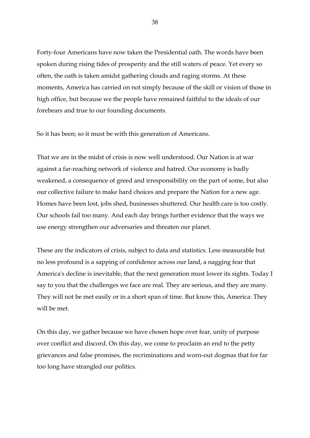Forty-four Americans have now taken the Presidential oath. The words have been spoken during rising tides of prosperity and the still waters of peace. Yet every so often, the oath is taken amidst gathering clouds and raging storms. At these moments, America has carried on not simply because of the skill or vision of those in high office, but because we the people have remained faithful to the ideals of our forebears and true to our founding documents.

So it has been; so it must be with this generation of Americans.

That we are in the midst of crisis is now well understood. Our Nation is at war against a far-reaching network of violence and hatred. Our economy is badly weakened, a consequence of greed and irresponsibility on the part of some, but also our collective failure to make hard choices and prepare the Nation for a new age. Homes have been lost, jobs shed, businesses shuttered. Our health care is too costly. Our schools fail too many. And each day brings further evidence that the ways we use energy strengthen our adversaries and threaten our planet.

These are the indicators of crisis, subject to data and statistics. Less measurable but no less profound is a sapping of confidence across our land, a nagging fear that America's decline is inevitable, that the next generation must lower its sights. Today I say to you that the challenges we face are real. They are serious, and they are many. They will not be met easily or in a short span of time. But know this, America: They will be met.

On this day, we gather because we have chosen hope over fear, unity of purpose over conflict and discord. On this day, we come to proclaim an end to the petty grievances and false promises, the recriminations and worn-out dogmas that for far too long have strangled our politics.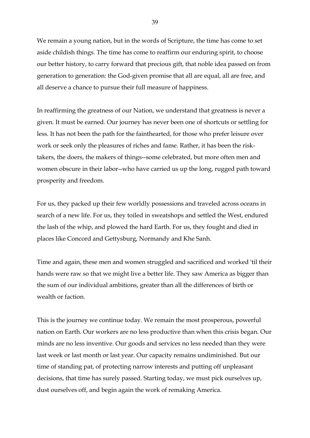We remain a young nation, but in the words of Scripture, the time has come to set aside childish things. The time has come to reaffirm our enduring spirit, to choose our better history, to carry forward that precious gift, that noble idea passed on from generation to generation: the God-given promise that all are equal, all are free, and all deserve a chance to pursue their full measure of happiness.

In reaffirming the greatness of our Nation, we understand that greatness is never a given. It must be earned. Our journey has never been one of shortcuts or settling for less. It has not been the path for the fainthearted, for those who prefer leisure over work or seek only the pleasures of riches and fame. Rather, it has been the risktakers, the doers, the makers of things--some celebrated, but more often men and women obscure in their labor--who have carried us up the long, rugged path toward prosperity and freedom.

For us, they packed up their few worldly possessions and traveled across oceans in search of a new life. For us, they toiled in sweatshops and settled the West, endured the lash of the whip, and plowed the hard Earth. For us, they fought and died in places like Concord and Gettysburg, Normandy and Khe Sanh.

Time and again, these men and women struggled and sacrificed and worked 'til their hands were raw so that we might live a better life. They saw America as bigger than the sum of our individual ambitions, greater than all the differences of birth or wealth or faction.

This is the journey we continue today. We remain the most prosperous, powerful nation on Earth. Our workers are no less productive than when this crisis began. Our minds are no less inventive. Our goods and services no less needed than they were last week or last month or last year. Our capacity remains undiminished. But our time of standing pat, of protecting narrow interests and putting off unpleasant decisions, that time has surely passed. Starting today, we must pick ourselves up, dust ourselves off, and begin again the work of remaking America.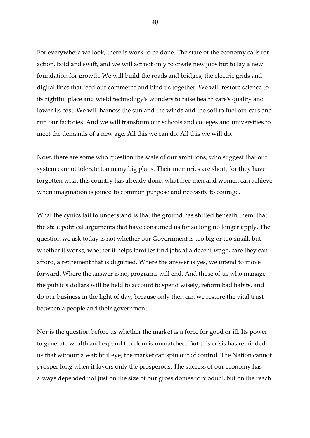For everywhere we look, there is work to be done. The state of the economy calls for action, bold and swift, and we will act not only to create new jobs but to lay a new foundation for growth. We will build the roads and bridges, the electric grids and digital lines that feed our commerce and bind us together. We will restore science to its rightful place and wield technology's wonders to raise health care's quality and lower its cost. We will harness the sun and the winds and the soil to fuel our cars and run our factories. And we will transform our schools and colleges and universities to meet the demands of a new age. All this we can do. All this we will do.

Now, there are some who question the scale of our ambitions, who suggest that our system cannot tolerate too many big plans. Their memories are short, for they have forgotten what this country has already done, what free men and women can achieve when imagination is joined to common purpose and necessity to courage.

What the cynics fail to understand is that the ground has shifted beneath them, that the stale political arguments that have consumed us for so long no longer apply. The question we ask today is not whether our Government is too big or too small, but whether it works; whether it helps families find jobs at a decent wage, care they can afford, a retirement that is dignified. Where the answer is yes, we intend to move forward. Where the answer is no, programs will end. And those of us who manage the public's dollars will be held to account to spend wisely, reform bad habits, and do our business in the light of day, because only then can we restore the vital trust between a people and their government.

Nor is the question before us whether the market is a force for good or ill. Its power to generate wealth and expand freedom is unmatched. But this crisis has reminded us that without a watchful eye, the market can spin out of control. The Nation cannot prosper long when it favors only the prosperous. The success of our economy has always depended not just on the size of our gross domestic product, but on the reach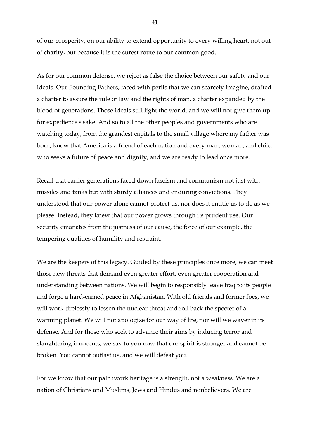of our prosperity, on our ability to extend opportunity to every willing heart, not out of charity, but because it is the surest route to our common good.

As for our common defense, we reject as false the choice between our safety and our ideals. Our Founding Fathers, faced with perils that we can scarcely imagine, drafted a charter to assure the rule of law and the rights of man, a charter expanded by the blood of generations. Those ideals still light the world, and we will not give them up for expedience's sake. And so to all the other peoples and governments who are watching today, from the grandest capitals to the small village where my father was born, know that America is a friend of each nation and every man, woman, and child who seeks a future of peace and dignity, and we are ready to lead once more.

Recall that earlier generations faced down fascism and communism not just with missiles and tanks but with sturdy alliances and enduring convictions. They understood that our power alone cannot protect us, nor does it entitle us to do as we please. Instead, they knew that our power grows through its prudent use. Our security emanates from the justness of our cause, the force of our example, the tempering qualities of humility and restraint.

We are the keepers of this legacy. Guided by these principles once more, we can meet those new threats that demand even greater effort, even greater cooperation and understanding between nations. We will begin to responsibly leave Iraq to its people and forge a hard-earned peace in Afghanistan. With old friends and former foes, we will work tirelessly to lessen the nuclear threat and roll back the specter of a warming planet. We will not apologize for our way of life, nor will we waver in its defense. And for those who seek to advance their aims by inducing terror and slaughtering innocents, we say to you now that our spirit is stronger and cannot be broken. You cannot outlast us, and we will defeat you.

For we know that our patchwork heritage is a strength, not a weakness. We are a nation of Christians and Muslims, Jews and Hindus and nonbelievers. We are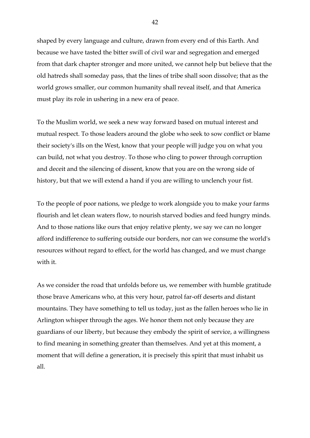shaped by every language and culture, drawn from every end of this Earth. And because we have tasted the bitter swill of civil war and segregation and emerged from that dark chapter stronger and more united, we cannot help but believe that the old hatreds shall someday pass, that the lines of tribe shall soon dissolve; that as the world grows smaller, our common humanity shall reveal itself, and that America must play its role in ushering in a new era of peace.

To the Muslim world, we seek a new way forward based on mutual interest and mutual respect. To those leaders around the globe who seek to sow conflict or blame their society's ills on the West, know that your people will judge you on what you can build, not what you destroy. To those who cling to power through corruption and deceit and the silencing of dissent, know that you are on the wrong side of history, but that we will extend a hand if you are willing to unclench your fist.

To the people of poor nations, we pledge to work alongside you to make your farms flourish and let clean waters flow, to nourish starved bodies and feed hungry minds. And to those nations like ours that enjoy relative plenty, we say we can no longer afford indifference to suffering outside our borders, nor can we consume the world's resources without regard to effect, for the world has changed, and we must change with it.

As we consider the road that unfolds before us, we remember with humble gratitude those brave Americans who, at this very hour, patrol far-off deserts and distant mountains. They have something to tell us today, just as the fallen heroes who lie in Arlington whisper through the ages. We honor them not only because they are guardians of our liberty, but because they embody the spirit of service, a willingness to find meaning in something greater than themselves. And yet at this moment, a moment that will define a generation, it is precisely this spirit that must inhabit us all.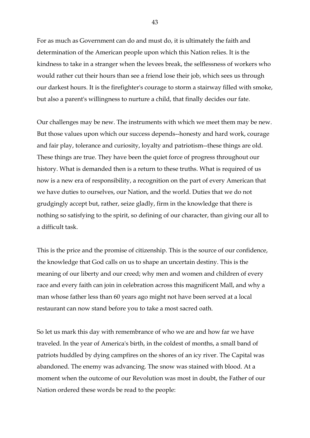For as much as Government can do and must do, it is ultimately the faith and determination of the American people upon which this Nation relies. It is the kindness to take in a stranger when the levees break, the selflessness of workers who would rather cut their hours than see a friend lose their job, which sees us through our darkest hours. It is the firefighter's courage to storm a stairway filled with smoke, but also a parent's willingness to nurture a child, that finally decides our fate.

Our challenges may be new. The instruments with which we meet them may be new. But those values upon which our success depends--honesty and hard work, courage and fair play, tolerance and curiosity, loyalty and patriotism--these things are old. These things are true. They have been the quiet force of progress throughout our history. What is demanded then is a return to these truths. What is required of us now is a new era of responsibility, a recognition on the part of every American that we have duties to ourselves, our Nation, and the world. Duties that we do not grudgingly accept but, rather, seize gladly, firm in the knowledge that there is nothing so satisfying to the spirit, so defining of our character, than giving our all to a difficult task.

This is the price and the promise of citizenship. This is the source of our confidence, the knowledge that God calls on us to shape an uncertain destiny. This is the meaning of our liberty and our creed; why men and women and children of every race and every faith can join in celebration across this magnificent Mall, and why a man whose father less than 60 years ago might not have been served at a local restaurant can now stand before you to take a most sacred oath.

So let us mark this day with remembrance of who we are and how far we have traveled. In the year of America's birth, in the coldest of months, a small band of patriots huddled by dying campfires on the shores of an icy river. The Capital was abandoned. The enemy was advancing. The snow was stained with blood. At a moment when the outcome of our Revolution was most in doubt, the Father of our Nation ordered these words be read to the people: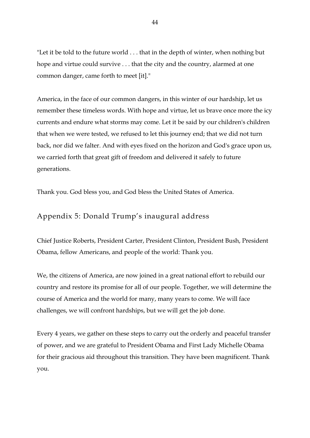"Let it be told to the future world . . . that in the depth of winter, when nothing but hope and virtue could survive . . . that the city and the country, alarmed at one common danger, came forth to meet [it]."

America, in the face of our common dangers, in this winter of our hardship, let us remember these timeless words. With hope and virtue, let us brave once more the icy currents and endure what storms may come. Let it be said by our children's children that when we were tested, we refused to let this journey end; that we did not turn back, nor did we falter. And with eyes fixed on the horizon and God's grace upon us, we carried forth that great gift of freedom and delivered it safely to future generations.

Thank you. God bless you, and God bless the United States of America.

### Appendix 5: Donald Trump's inaugural address

Chief Justice Roberts, President Carter, President Clinton, President Bush, President Obama, fellow Americans, and people of the world: Thank you.

We, the citizens of America, are now joined in a great national effort to rebuild our country and restore its promise for all of our people. Together, we will determine the course of America and the world for many, many years to come. We will face challenges, we will confront hardships, but we will get the job done.

Every 4 years, we gather on these steps to carry out the orderly and peaceful transfer of power, and we are grateful to President Obama and First Lady Michelle Obama for their gracious aid throughout this transition. They have been magnificent. Thank you.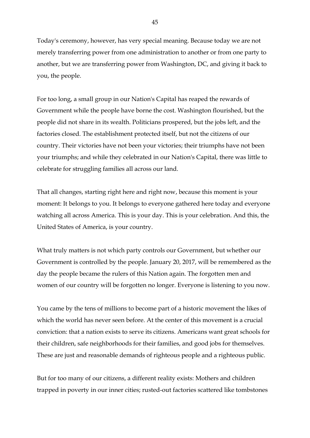Today's ceremony, however, has very special meaning. Because today we are not merely transferring power from one administration to another or from one party to another, but we are transferring power from Washington, DC, and giving it back to you, the people.

For too long, a small group in our Nation's Capital has reaped the rewards of Government while the people have borne the cost. Washington flourished, but the people did not share in its wealth. Politicians prospered, but the jobs left, and the factories closed. The establishment protected itself, but not the citizens of our country. Their victories have not been your victories; their triumphs have not been your triumphs; and while they celebrated in our Nation's Capital, there was little to celebrate for struggling families all across our land.

That all changes, starting right here and right now, because this moment is your moment: It belongs to you. It belongs to everyone gathered here today and everyone watching all across America. This is your day. This is your celebration. And this, the United States of America, is your country.

What truly matters is not which party controls our Government, but whether our Government is controlled by the people. January 20, 2017, will be remembered as the day the people became the rulers of this Nation again. The forgotten men and women of our country will be forgotten no longer. Everyone is listening to you now.

You came by the tens of millions to become part of a historic movement the likes of which the world has never seen before. At the center of this movement is a crucial conviction: that a nation exists to serve its citizens. Americans want great schools for their children, safe neighborhoods for their families, and good jobs for themselves. These are just and reasonable demands of righteous people and a righteous public.

But for too many of our citizens, a different reality exists: Mothers and children trapped in poverty in our inner cities; rusted-out factories scattered like tombstones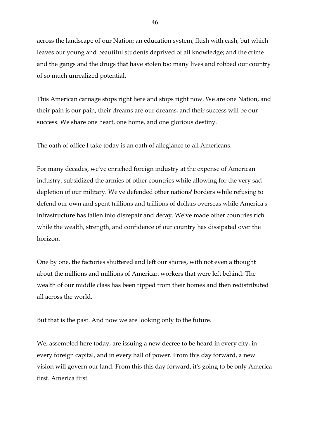across the landscape of our Nation; an education system, flush with cash, but which leaves our young and beautiful students deprived of all knowledge; and the crime and the gangs and the drugs that have stolen too many lives and robbed our country of so much unrealized potential.

This American carnage stops right here and stops right now. We are one Nation, and their pain is our pain, their dreams are our dreams, and their success will be our success. We share one heart, one home, and one glorious destiny.

The oath of office I take today is an oath of allegiance to all Americans.

For many decades, we've enriched foreign industry at the expense of American industry, subsidized the armies of other countries while allowing for the very sad depletion of our military. We've defended other nations' borders while refusing to defend our own and spent trillions and trillions of dollars overseas while America's infrastructure has fallen into disrepair and decay. We've made other countries rich while the wealth, strength, and confidence of our country has dissipated over the horizon.

One by one, the factories shuttered and left our shores, with not even a thought about the millions and millions of American workers that were left behind. The wealth of our middle class has been ripped from their homes and then redistributed all across the world.

But that is the past. And now we are looking only to the future.

We, assembled here today, are issuing a new decree to be heard in every city, in every foreign capital, and in every hall of power. From this day forward, a new vision will govern our land. From this this day forward, it's going to be only America first. America first.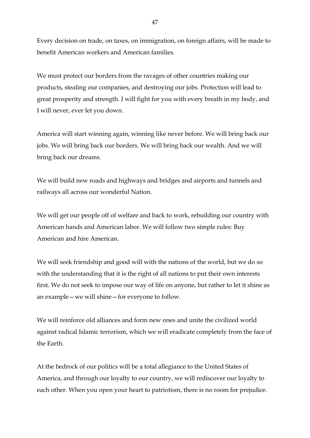Every decision on trade, on taxes, on immigration, on foreign affairs, will be made to benefit American workers and American families.

We must protect our borders from the ravages of other countries making our products, stealing our companies, and destroying our jobs. Protection will lead to great prosperity and strength. I will fight for you with every breath in my body, and I will never, ever let you down.

America will start winning again, winning like never before. We will bring back our jobs. We will bring back our borders. We will bring back our wealth. And we will bring back our dreams.

We will build new roads and highways and bridges and airports and tunnels and railways all across our wonderful Nation.

We will get our people off of welfare and back to work, rebuilding our country with American hands and American labor. We will follow two simple rules: Buy American and hire American.

We will seek friendship and good will with the nations of the world, but we do so with the understanding that it is the right of all nations to put their own interests first. We do not seek to impose our way of life on anyone, but rather to let it shine as an example—we will shine—for everyone to follow.

We will reinforce old alliances and form new ones and unite the civilized world against radical Islamic terrorism, which we will eradicate completely from the face of the Earth.

At the bedrock of our politics will be a total allegiance to the United States of America, and through our loyalty to our country, we will rediscover our loyalty to each other. When you open your heart to patriotism, there is no room for prejudice.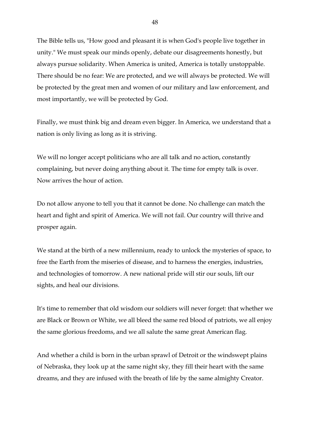The Bible tells us, "How good and pleasant it is when God's people live together in unity." We must speak our minds openly, debate our disagreements honestly, but always pursue solidarity. When America is united, America is totally unstoppable. There should be no fear: We are protected, and we will always be protected. We will be protected by the great men and women of our military and law enforcement, and most importantly, we will be protected by God.

Finally, we must think big and dream even bigger. In America, we understand that a nation is only living as long as it is striving.

We will no longer accept politicians who are all talk and no action, constantly complaining, but never doing anything about it. The time for empty talk is over. Now arrives the hour of action.

Do not allow anyone to tell you that it cannot be done. No challenge can match the heart and fight and spirit of America. We will not fail. Our country will thrive and prosper again.

We stand at the birth of a new millennium, ready to unlock the mysteries of space, to free the Earth from the miseries of disease, and to harness the energies, industries, and technologies of tomorrow. A new national pride will stir our souls, lift our sights, and heal our divisions.

It's time to remember that old wisdom our soldiers will never forget: that whether we are Black or Brown or White, we all bleed the same red blood of patriots, we all enjoy the same glorious freedoms, and we all salute the same great American flag.

And whether a child is born in the urban sprawl of Detroit or the windswept plains of Nebraska, they look up at the same night sky, they fill their heart with the same dreams, and they are infused with the breath of life by the same almighty Creator.